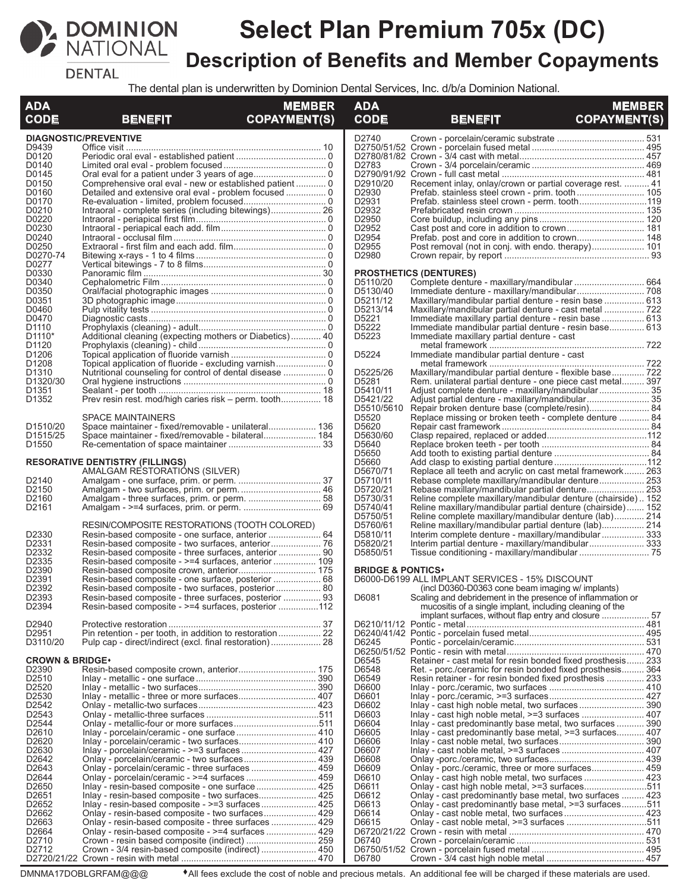

# **Select Plan Premium 705x (DC) Description of Benefits and Member Copayments**

**DENTAL** 

The dental plan is underwritten by Dominion Dental Services, Inc. d/b/a Dominion National.

| <b>ADA</b><br><b>CODE</b>         | <b>BENEFIT</b>                                                                                   | <b>MEMBER</b><br><b>COPAYMENT(S)</b> | <b>ADA</b><br><b>CODE</b>    | <b>BENEFIT</b>                                                                                                   | <b>MEMBER</b><br><b>COPAYMENT(S)</b> |
|-----------------------------------|--------------------------------------------------------------------------------------------------|--------------------------------------|------------------------------|------------------------------------------------------------------------------------------------------------------|--------------------------------------|
|                                   | <b>DIAGNOSTIC/PREVENTIVE</b>                                                                     |                                      | D2740                        |                                                                                                                  |                                      |
| D9439                             |                                                                                                  |                                      |                              |                                                                                                                  |                                      |
| D0120                             |                                                                                                  |                                      |                              |                                                                                                                  |                                      |
| D0140                             |                                                                                                  |                                      | D2783                        |                                                                                                                  |                                      |
| D0145                             |                                                                                                  |                                      |                              |                                                                                                                  |                                      |
| D0150                             |                                                                                                  |                                      | D2910/20<br>D2930            | Recement inlay, onlay/crown or partial coverage rest.  41                                                        |                                      |
| D0160<br>D0170                    |                                                                                                  |                                      | D2931                        | Prefab. stainless steel crown - prim. tooth 105<br>Prefab. stainless steel crown - perm. tooth119                |                                      |
| D0210                             |                                                                                                  |                                      | D2932                        |                                                                                                                  |                                      |
| D0220                             |                                                                                                  |                                      | D2950                        |                                                                                                                  |                                      |
| D0230                             |                                                                                                  |                                      | D2952                        |                                                                                                                  |                                      |
| D0240                             |                                                                                                  |                                      | D2954                        |                                                                                                                  |                                      |
| D0250                             |                                                                                                  |                                      | D2955                        | Post removal (not in conj. with endo. therapy) 101                                                               |                                      |
| D0270-74                          |                                                                                                  |                                      | D2980                        |                                                                                                                  |                                      |
| D0277                             |                                                                                                  |                                      |                              |                                                                                                                  |                                      |
| D0330                             |                                                                                                  |                                      |                              | <b>PROSTHETICS (DENTURES)</b>                                                                                    |                                      |
| D0340<br>D0350                    |                                                                                                  |                                      | D5110/20<br>D5130/40         | Complete denture - maxillary/mandibular  664                                                                     |                                      |
| D0351                             |                                                                                                  |                                      | D5211/12                     |                                                                                                                  |                                      |
| D0460                             |                                                                                                  |                                      | D5213/14                     | Maxillary/mandibular partial denture - resin base  613<br>Maxillary/mandibular partial denture - cast metal  722 |                                      |
| D0470                             |                                                                                                  |                                      | D5221                        | Immediate maxillary partial denture - resin base  613                                                            |                                      |
| D <sub>1110</sub>                 |                                                                                                  |                                      | D5222                        | Immediate mandibular partial denture - resin base 613                                                            |                                      |
| D <sub>1110</sub> <sup>*</sup>    | Additional cleaning (expecting mothers or Diabetics) 40                                          |                                      | D5223                        | Immediate maxillary partial denture - cast                                                                       |                                      |
| D <sub>1120</sub>                 |                                                                                                  |                                      |                              |                                                                                                                  |                                      |
| D1206                             |                                                                                                  |                                      | D5224                        | Immediate mandibular partial denture - cast                                                                      |                                      |
| D <sub>1208</sub>                 |                                                                                                  |                                      |                              |                                                                                                                  |                                      |
| D <sub>1310</sub>                 |                                                                                                  |                                      | D5225/26                     | Maxillary/mandibular partial denture - flexible base 722                                                         |                                      |
| D1320/30                          |                                                                                                  |                                      | D5281                        | Rem. unilateral partial denture - one piece cast metal 397                                                       |                                      |
| D <sub>1351</sub>                 |                                                                                                  |                                      | D5410/11                     |                                                                                                                  |                                      |
| D <sub>1352</sub>                 | Prev resin rest. mod/high caries risk – perm. tooth 18                                           |                                      | D5421/22                     |                                                                                                                  |                                      |
|                                   |                                                                                                  |                                      | D5510/5610                   | Repair broken denture base (complete/resin) 84                                                                   |                                      |
|                                   | <b>SPACE MAINTAINERS</b>                                                                         |                                      | D5520                        | Replace missing or broken teeth - complete denture  84                                                           |                                      |
| D <sub>1510</sub> /20<br>D1515/25 | Space maintainer - fixed/removable - bilateral 184                                               |                                      | D5620<br>D5630/60            |                                                                                                                  |                                      |
| D <sub>1550</sub>                 |                                                                                                  |                                      | D5640                        |                                                                                                                  |                                      |
|                                   |                                                                                                  |                                      | D5650                        |                                                                                                                  |                                      |
|                                   | <b>RESORATIVE DENTISTRY (FILLINGS)</b>                                                           |                                      | D5660                        |                                                                                                                  |                                      |
|                                   | AMALGAM RESTORATIONS (SILVER)                                                                    |                                      | D5670/71                     | Replace all teeth and acrylic on cast metal framework 263                                                        |                                      |
| D2140                             |                                                                                                  |                                      | D5710/11                     | Rebase complete maxillary/mandibular denture 253                                                                 |                                      |
| D2150                             | Amalgam - two surfaces, prim. or perm.  46                                                       |                                      | D5720/21                     | Rebase maxillary/mandibular partial denture 253                                                                  |                                      |
| D <sub>2160</sub>                 |                                                                                                  |                                      | D5730/31                     | Reline complete maxillary/mandibular denture (chairside) 152                                                     |                                      |
| D <sub>2161</sub>                 |                                                                                                  |                                      | D5740/41                     | Reline maxillary/mandibular partial denture (chairside)  152                                                     |                                      |
|                                   |                                                                                                  |                                      | D5750/51                     | Reline complete maxillary/mandibular denture (lab) 214                                                           |                                      |
|                                   | RESIN/COMPOSITE RESTORATIONS (TOOTH COLORED)                                                     |                                      | D5760/61                     | Reline maxillary/mandibular partial denture (lab) 214                                                            |                                      |
| D2330<br>D2331                    |                                                                                                  |                                      | D5810/11                     | Interim complete denture - maxillary/mandibular 333                                                              |                                      |
| D <sub>2332</sub>                 | Resin-based composite - three surfaces, anterior  90                                             |                                      | D5820/21<br>D5850/51         | Interim partial denture - maxillary/mandibular 333                                                               |                                      |
| D2335                             |                                                                                                  |                                      |                              |                                                                                                                  |                                      |
| D2390                             | Resin-based composite crown, anterior 175                                                        |                                      | <b>BRIDGE &amp; PONTICS*</b> |                                                                                                                  |                                      |
| D <sub>2391</sub>                 | Resin-based composite - one surface, posterior  68                                               |                                      |                              | D6000-D6199 ALL IMPLANT SERVICES - 15% DISCOUNT                                                                  |                                      |
| D2392                             | Resin-based composite - two surfaces, posterior 80                                               |                                      |                              | (incl D0360-D0363 cone beam imaging w/ implants)                                                                 |                                      |
| D2393                             | Resin-based composite - three surfaces, posterior  93                                            |                                      | D6081                        | Scaling and debridement in the presence of inflammation or                                                       |                                      |
| D <sub>2394</sub>                 | Resin-based composite - >=4 surfaces, posterior 112                                              |                                      |                              | mucositis of a single implant, including cleaning of the                                                         |                                      |
|                                   |                                                                                                  |                                      |                              |                                                                                                                  |                                      |
| D2940                             |                                                                                                  |                                      |                              |                                                                                                                  |                                      |
| D <sub>2951</sub>                 |                                                                                                  |                                      |                              |                                                                                                                  |                                      |
| D3110/20                          |                                                                                                  |                                      | D6245                        |                                                                                                                  |                                      |
| <b>CROWN &amp; BRIDGE*</b>        |                                                                                                  |                                      |                              | Retainer - cast metal for resin bonded fixed prosthesis 233                                                      |                                      |
| D2390                             |                                                                                                  |                                      | D6545<br>D6548               | Ret. - porc./ceramic for resin bonded fixed prosthesis 364                                                       |                                      |
| D2510                             |                                                                                                  |                                      | D6549                        | Resin retainer - for resin bonded fixed prosthesis  233                                                          |                                      |
| D <sub>2520</sub>                 |                                                                                                  |                                      | D6600                        |                                                                                                                  |                                      |
| D <sub>2530</sub>                 |                                                                                                  |                                      | D6601                        |                                                                                                                  |                                      |
| D2542                             |                                                                                                  |                                      | D6602                        |                                                                                                                  |                                      |
| D2543                             |                                                                                                  |                                      | D6603                        |                                                                                                                  |                                      |
| D2544                             |                                                                                                  |                                      | D6604                        | Inlay - cast predominantly base metal, two surfaces  390                                                         |                                      |
| D2610                             |                                                                                                  |                                      | D6605                        | Inlay - cast predominantly base metal, >=3 surfaces 407                                                          |                                      |
| D2620                             |                                                                                                  |                                      | D6606                        |                                                                                                                  |                                      |
| D2630                             |                                                                                                  |                                      | D6607                        |                                                                                                                  |                                      |
| D2642                             | Onlay - porcelain/ceramic - two surfaces 439                                                     |                                      | D6608                        |                                                                                                                  |                                      |
| D2643<br>D2644                    |                                                                                                  |                                      | D6609<br>D6610               | Onlay - porc./ceramic, three or more surfaces 459                                                                |                                      |
| D2650                             | Onlay - porcelain/ceramic - >=4 surfaces  459<br>Inlay - resin-based composite - one surface 425 |                                      | D6611                        | Onlay - cast high noble metal, >=3 surfaces511                                                                   |                                      |
| D <sub>2651</sub>                 |                                                                                                  |                                      | D6612                        | Onlay - cast predominantly base metal, two surfaces  423                                                         |                                      |
| D <sub>2652</sub>                 |                                                                                                  |                                      | D6613                        | Onlay - cast predominantly base metal, >=3 surfaces511                                                           |                                      |
| D2662                             | Onlay - resin-based composite - two surfaces 429                                                 |                                      | D6614                        |                                                                                                                  |                                      |
| D <sub>2663</sub>                 | Onlay - resin-based composite - three surfaces  429                                              |                                      | D6615                        |                                                                                                                  |                                      |
| D2664                             |                                                                                                  |                                      |                              |                                                                                                                  |                                      |
| D2710                             |                                                                                                  |                                      | D6740                        |                                                                                                                  |                                      |
| D <sub>2712</sub>                 | Crown - 3/4 resin-based composite (indirect)  450                                                |                                      |                              |                                                                                                                  |                                      |
|                                   |                                                                                                  |                                      | D6780                        |                                                                                                                  |                                      |

DMNMA17DOBLGRFAM@@@ <sup>
All fees exclude the cost of noble and precious metals. An additional fee will be charged if these materials are used.</sup>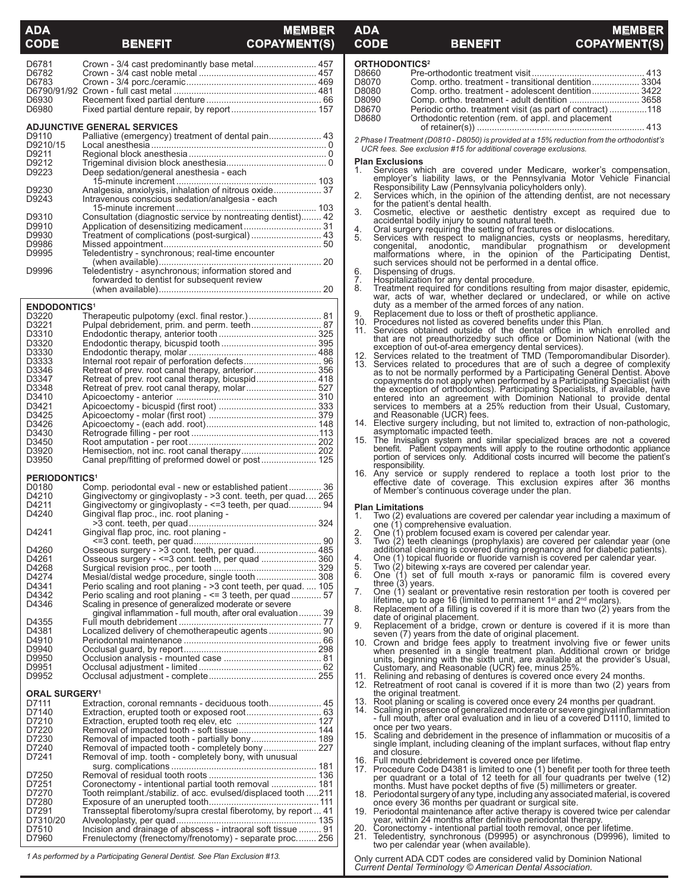## **ADAPTER**<br> **ADAPTER**<br> **ADAPTER**<br> **ADAPTER**<br> **ADAPTER**<br> **ADAPTER**<br> **ADAPTER CODE BENEFIT COPAYMENT(S)**

**CODE BENEFIT COPAYMENT** 

# **ADA MEMBER**

| D6781                           | Crown - 3/4 cast predominantly base metal 457                                                                            |  |
|---------------------------------|--------------------------------------------------------------------------------------------------------------------------|--|
| D6782                           |                                                                                                                          |  |
| D6783                           |                                                                                                                          |  |
|                                 |                                                                                                                          |  |
|                                 |                                                                                                                          |  |
| D6930                           |                                                                                                                          |  |
| D6980                           |                                                                                                                          |  |
|                                 |                                                                                                                          |  |
|                                 | <b>ADJUNCTIVE GENERAL SERVICES</b>                                                                                       |  |
| D9110                           | Palliative (emergency) treatment of dental pain 43                                                                       |  |
| D9210/15                        |                                                                                                                          |  |
| D9211                           |                                                                                                                          |  |
| D9212                           |                                                                                                                          |  |
| D9223                           | Deep sedation/general anesthesia - each                                                                                  |  |
|                                 |                                                                                                                          |  |
| D9230                           | Analgesia, anxiolysis, inhalation of nitrous oxide 37                                                                    |  |
| D9243                           | Intravenous conscious sedation/analgesia - each                                                                          |  |
|                                 |                                                                                                                          |  |
| D9310                           | Consultation (diagnostic service by nontreating dentist) 42                                                              |  |
| D9910                           |                                                                                                                          |  |
| D9930                           | Treatment of complications (post-surgical)  43                                                                           |  |
| D9986                           |                                                                                                                          |  |
|                                 |                                                                                                                          |  |
| D9995                           | Teledentistry - synchronous; real-time encounter                                                                         |  |
|                                 |                                                                                                                          |  |
| D9996                           | Teledentistry - asynchronous; information stored and                                                                     |  |
|                                 | forwarded to dentist for subsequent review                                                                               |  |
|                                 |                                                                                                                          |  |
| <b>ENDODONTICS<sup>1</sup></b>  |                                                                                                                          |  |
| D3220                           |                                                                                                                          |  |
| D3221                           | Pulpal debridement, prim. and perm. teeth 87                                                                             |  |
|                                 |                                                                                                                          |  |
| D3310                           |                                                                                                                          |  |
| D3320                           |                                                                                                                          |  |
| D3330                           |                                                                                                                          |  |
| D3333                           |                                                                                                                          |  |
| D3346                           | Retreat of prev. root canal therapy, anterior356                                                                         |  |
| D3347                           | Retreat of prev. root canal therapy, bicuspid 418                                                                        |  |
| D3348                           | Retreat of prev. root canal therapy, molar 527                                                                           |  |
| D3410                           |                                                                                                                          |  |
| D3421                           |                                                                                                                          |  |
| D3425                           |                                                                                                                          |  |
| D3426                           |                                                                                                                          |  |
| D3430                           |                                                                                                                          |  |
| D3450                           |                                                                                                                          |  |
| D3920                           |                                                                                                                          |  |
| D3950                           |                                                                                                                          |  |
|                                 |                                                                                                                          |  |
| <b>PERIODONTICS<sup>1</sup></b> |                                                                                                                          |  |
| D0180                           | Comp. periodontal eval - new or established patient 36                                                                   |  |
| D4210                           | Gingivectomy or gingivoplasty - > 3 cont. teeth, per quad 265                                                            |  |
| D4211                           | Gingivectomy or gingivoplasty - <= 3 teeth, per quad 94                                                                  |  |
| D4240                           | Gingival flap proc., inc. root planing -                                                                                 |  |
|                                 |                                                                                                                          |  |
| D4241                           | Gingival flap proc, inc. root planing -                                                                                  |  |
|                                 |                                                                                                                          |  |
| D4260                           | Osseous surgery - > 3 cont. teeth, per quad 485                                                                          |  |
| D4261                           |                                                                                                                          |  |
| D4268                           |                                                                                                                          |  |
| D4274                           | Mesial/distal wedge procedure, single tooth  308                                                                         |  |
| D4341                           | Perio scaling and root planing - >3 cont teeth, per quad 105<br>Perio scaling and root planing - <= 3 teeth, per quad 57 |  |
| D4342                           |                                                                                                                          |  |
| D4346                           | Scaling in presence of generalized moderate or severe                                                                    |  |
|                                 | gingival inflammation - full mouth, after oral evaluation  39                                                            |  |
| D4355                           |                                                                                                                          |  |
| D4381                           |                                                                                                                          |  |
| D4910                           |                                                                                                                          |  |
| D9940                           |                                                                                                                          |  |
| D9950                           |                                                                                                                          |  |
| D9951                           |                                                                                                                          |  |
| D9952                           |                                                                                                                          |  |
|                                 |                                                                                                                          |  |
| <b>ORAL SURGERY<sup>1</sup></b> |                                                                                                                          |  |
| D7111                           |                                                                                                                          |  |
| D7140                           |                                                                                                                          |  |
| D7210                           | Extraction, erupted tooth req elev, etc  127                                                                             |  |
| D7220                           |                                                                                                                          |  |
| D7230                           | Removal of impacted tooth - partially bony 189                                                                           |  |
| D7240                           |                                                                                                                          |  |
| D7241                           | Removal of imp. tooth - completely bony, with unusual                                                                    |  |
|                                 |                                                                                                                          |  |
| D7250                           |                                                                                                                          |  |
| D7251                           | Coronectomy - intentional partial tooth removal  181                                                                     |  |
| D7270                           | Tooth reimplant./stabiliz. of acc. evulsed/displaced tooth 211                                                           |  |
| D7280                           |                                                                                                                          |  |
| D7291                           | Transseptal fiberotomy/supra crestal fiberotomy, by report  41                                                           |  |
| D7310/20                        |                                                                                                                          |  |
| D7510                           | Incision and drainage of abscess - intraoral soft tissue  91<br>Frenulectomy (frenectomy/frenotomy) - separate proc 256  |  |
| D7960                           |                                                                                                                          |  |

*1 As performed by a Participating General Dentist. See Plan Exclusion #13.*

|           | <b>ORTHODONTICS<sup>2</sup></b>                                                                                                                               |
|-----------|---------------------------------------------------------------------------------------------------------------------------------------------------------------|
| D8660     |                                                                                                                                                               |
| D8070     | Comp. ortho. treatment - transitional dentition 3304                                                                                                          |
| D8080     | Comp. ortho. treatment - adolescent dentition 3422                                                                                                            |
| D8090     | Comp. ortho. treatment - adult dentition  3658                                                                                                                |
| D8670     | Periodic ortho. treatment visit (as part of contract)  118                                                                                                    |
| D8680     | Orthodontic retention (rem. of appl. and placement                                                                                                            |
|           |                                                                                                                                                               |
|           | 2 Phase I Treatment (D0810 - D8050) is provided at a 15% reduction from the orthodontist's<br>UCR fees. See exclusion #15 for additional coverage exclusions. |
|           | <b>Plan Exclusions</b>                                                                                                                                        |
| 1.        | Services which are covered under Medicare, worker's compensation,                                                                                             |
|           |                                                                                                                                                               |
|           | employer's liability laws, or the Pennsylvania Motor Vehicle Financial<br>Responsibility Law (Pennsylvania policyholders only)                                |
| 2.        | Services which, in the opinion of the attending dentist, are not necessary                                                                                    |
|           | for the patient's dental health.                                                                                                                              |
| 3.        | Cosmetic, elective or aesthetic dentistry except as required due to                                                                                           |
|           | accidental bodily injury to sound natural teeth.                                                                                                              |
| 4.        | Oral surgery requiring the setting of fractures or dislocations.                                                                                              |
| 5.        | Services with respect to malignancies, cysts or neoplasms, hereditary,                                                                                        |
|           | anodontic, mandibular prognathism or development<br>congenital,<br>malformations where, in the opinion of the Participating Dentist,                          |
|           | such services should not be performed in a dental office.                                                                                                     |
| 6.        | Dispensing of drugs.                                                                                                                                          |
| 7.        | Hospitalization for any dental procedure.                                                                                                                     |
| 8.        | Treatment required for conditions resulting from major disaster, epidemic,                                                                                    |
|           | war, acts of war, whether declared or undeclared, or while on active                                                                                          |
|           | duty as a member of the armed forces of any nation.                                                                                                           |
| 9.<br>10. | Replacement due to loss or theft of prosthetic appliance.<br>Procedures not listed as covered benefits under this Plan.                                       |
| 11.       | Services obtained outside of the dental office in which enrolled and                                                                                          |
|           | that are not preauthorizedby such office or Dominion National (with the                                                                                       |
|           | exception of out-of-area emergency dental services).                                                                                                          |
| 12.       | Services related to the treatment of TMD (Temporomandibular Disorder).                                                                                        |
| 13.       | Services related to procedures that are of such a degree of complexity                                                                                        |
|           | as to not be normally performed by a Participating General Dentist. Above                                                                                     |
|           | copayments do not apply when performed by a Participating Specialist (with the exception of orthodontics). Participating Specialists, if available, have      |
|           | entered into an agreement with Dominion National to provide dental                                                                                            |
|           | services to members at a 25% reduction from their Usual, Customary,                                                                                           |
|           | and Reasonable (UCR) fees.                                                                                                                                    |
| 14.       | Elective surgery including, but not limited to, extraction of non-pathologic,                                                                                 |
|           | asymptomatic impacted teeth.                                                                                                                                  |
| 15.       | The Invisalign system and similar specialized braces are not a covered                                                                                        |
|           | benefit. Patient copayments will apply to the routine orthodontic appliance<br>portion of services only. Additional costs incurred will become the patient's  |
|           | responsibility.                                                                                                                                               |
| 16.       | Any service or supply rendered to replace a tooth lost prior to the                                                                                           |
|           | effective date of coverage. This exclusion expires after 36 months                                                                                            |
|           | of Member's continuous coverage under the plan.                                                                                                               |
|           | <b>Plan Limitations</b>                                                                                                                                       |
| 1.        | Two (2) evaluations are covered per calendar year including a maximum of                                                                                      |
|           | one (1) comprehensive evaluation.                                                                                                                             |
| 2.        | One (1) problem focused exam is covered per calendar year.                                                                                                    |
| 3.        | Two (2) teeth cleanings (prophylaxis) are covered per calendar year (one                                                                                      |
|           | additional cleaning is covered during pregnancy and for diabetic patients).                                                                                   |
| 4.        | One (1) topical fluoride or fluoride varnish is covered per calendar year.                                                                                    |
| 5.        | Two (2) bitewing x-rays are covered per calendar year.                                                                                                        |
| 6.        | One (1) set of full mouth x-rays or panoramic film is covered every<br>three (3) years.                                                                       |
| 7.        | One $(1)$ sealant or preventative resin restoration per tooth is covered per                                                                                  |
|           | lifetime, up to age 16 (limited to permanent $1st$ and $2nd$ molars).                                                                                         |
| 8.        | Replacement of a filling is covered if it is more than two (2) years from the                                                                                 |
|           | date of original placement.                                                                                                                                   |
| 9.        | Replacement of a bridge, crown or denture is covered if it is more than                                                                                       |
|           | seven (7) years from the date of original placement.                                                                                                          |
| 10.       | Crown and bridge fees apply to treatment involving five or fewer units                                                                                        |
|           | when presented in a single treatment plan. Additional crown or bridge<br>units, beginning with the sixth unit, are available at the provider's Usual,         |
|           | $Customny$ , and Boasonable (UCB) foo, minus $25\%$                                                                                                           |

- Customary, and Reasonable (UCR) fee, minus 25%. 11. Relining and rebasing of dentures is covered once every 24 months.
- 12. Retreatment of root canal is covered if it is more than two (2) years from<br>the original treatment.<br>13. Root planing or scaling is covered once every 24 months per quadrant.<br>14. Scaling in presence of generalized modera
- 
- full mouth, after oral evaluation and in lieu of a covered D1110, limited to
- once per two years.<br>15. Scaling and debridement in the presence of inflammation or mucositis of a<br>single implant, including cleaning of the implant surfaces, without flap entry<br>and closure.
- 
- 16. Full mouth debridement is covered once per lifetime.<br>17. Procedure Code D4381 is limited to one (1) benefit per tooth for three teeth<br>per quadrant or a total of 12 teeth for all four quadrants per twelve (12)<br>months. M
- 
- 
- 
- year, within 24 months after definitive periodontal therapy. 20. Coronectomy intentional partial tooth removal, once per lifetime. 21. Teledentistry, synchronous (D9995) or asynchronous (D9996), limited to two per calendar year (when available).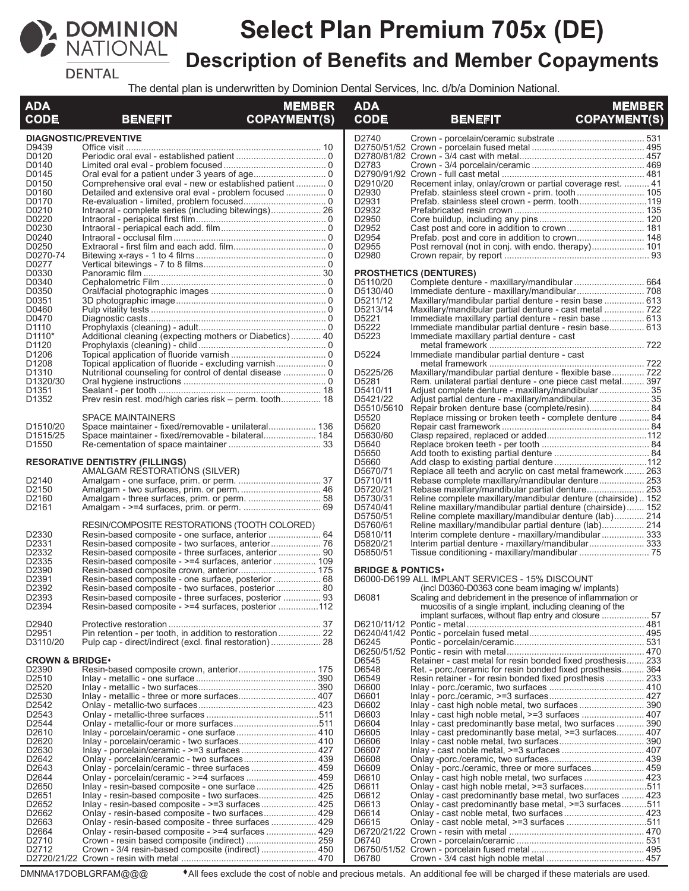

# **Select Plan Premium 705x (DE) Description of Benefits and Member Copayments**

**DENTAL** 

The dental plan is underwritten by Dominion Dental Services, Inc. d/b/a Dominion National.

| <b>ADA</b><br><b>CODE</b>      | <b>BENEFIT</b>                                                                                               | <b>MEMBER</b><br><b>COPAYMENT(S)</b> | <b>ADA</b><br><b>CODE</b>    | <b>BENEFIT</b>                                                                                                         | <b>MEMBER</b><br><b>COPAYMENT(S)</b> |
|--------------------------------|--------------------------------------------------------------------------------------------------------------|--------------------------------------|------------------------------|------------------------------------------------------------------------------------------------------------------------|--------------------------------------|
|                                | <b>DIAGNOSTIC/PREVENTIVE</b>                                                                                 |                                      | D2740                        |                                                                                                                        |                                      |
| D9439                          |                                                                                                              |                                      |                              |                                                                                                                        |                                      |
| D0120                          |                                                                                                              |                                      |                              |                                                                                                                        |                                      |
| D0140                          |                                                                                                              |                                      | D2783                        |                                                                                                                        |                                      |
| D0145<br>D0150                 |                                                                                                              |                                      | D2910/20                     | Recement inlay, onlay/crown or partial coverage rest.  41                                                              |                                      |
| D0160                          |                                                                                                              |                                      | D2930                        | Prefab. stainless steel crown - prim. tooth 105                                                                        |                                      |
| D0170                          |                                                                                                              |                                      | D2931                        | Prefab. stainless steel crown - perm. tooth119                                                                         |                                      |
| D0210                          |                                                                                                              |                                      | D2932                        |                                                                                                                        |                                      |
| D0220                          |                                                                                                              |                                      | D2950                        |                                                                                                                        |                                      |
| D0230                          |                                                                                                              |                                      | D2952                        |                                                                                                                        |                                      |
| D0240                          |                                                                                                              |                                      | D2954                        |                                                                                                                        |                                      |
| D0250                          |                                                                                                              |                                      | D2955                        | Post removal (not in conj. with endo. therapy) 101                                                                     |                                      |
| D0270-74                       |                                                                                                              |                                      | D2980                        |                                                                                                                        |                                      |
| D0277                          |                                                                                                              |                                      |                              |                                                                                                                        |                                      |
| D0330<br>D0340                 |                                                                                                              |                                      | D5110/20                     | <b>PROSTHETICS (DENTURES)</b>                                                                                          |                                      |
| D0350                          |                                                                                                              |                                      | D5130/40                     |                                                                                                                        |                                      |
| D0351                          |                                                                                                              |                                      | D5211/12                     | Maxillary/mandibular partial denture - resin base  613                                                                 |                                      |
| D0460                          |                                                                                                              |                                      | D5213/14                     | Maxillary/mandibular partial denture - cast metal  722                                                                 |                                      |
| D0470                          |                                                                                                              |                                      | D5221                        | Immediate maxillary partial denture - resin base  613                                                                  |                                      |
| D <sub>1110</sub>              |                                                                                                              |                                      | D5222                        | Immediate mandibular partial denture - resin base 613                                                                  |                                      |
| D <sub>1110</sub> <sup>*</sup> | Additional cleaning (expecting mothers or Diabetics) 40                                                      |                                      | D5223                        | Immediate maxillary partial denture - cast                                                                             |                                      |
| D <sub>1120</sub>              |                                                                                                              |                                      |                              |                                                                                                                        |                                      |
| D1206                          |                                                                                                              |                                      | D5224                        | Immediate mandibular partial denture - cast                                                                            |                                      |
| D <sub>1208</sub><br>D1310     |                                                                                                              |                                      | D5225/26                     |                                                                                                                        |                                      |
| D <sub>1320</sub> /30          |                                                                                                              |                                      | D5281                        | Maxillary/mandibular partial denture - flexible base 722<br>Rem. unilateral partial denture - one piece cast metal 397 |                                      |
| D <sub>1351</sub>              |                                                                                                              |                                      | D5410/11                     | Adjust complete denture - maxillary/mandibular 35                                                                      |                                      |
| D <sub>1352</sub>              | Prev resin rest. mod/high caries risk – perm. tooth 18                                                       |                                      | D5421/22                     |                                                                                                                        |                                      |
|                                |                                                                                                              |                                      | D5510/5610                   | Repair broken denture base (complete/resin) 84                                                                         |                                      |
|                                | SPACE MAINTAINERS                                                                                            |                                      | D5520                        | Replace missing or broken teeth - complete denture  84                                                                 |                                      |
| D <sub>1510</sub> /20          | Space maintainer - fixed/removable - unilateral 136                                                          |                                      | D5620                        |                                                                                                                        |                                      |
| D1515/25                       | Space maintainer - fixed/removable - bilateral 184                                                           |                                      | D5630/60                     |                                                                                                                        |                                      |
| D <sub>1550</sub>              |                                                                                                              |                                      | D5640                        |                                                                                                                        |                                      |
|                                |                                                                                                              |                                      | D5650                        |                                                                                                                        |                                      |
|                                | <b>RESORATIVE DENTISTRY (FILLINGS)</b>                                                                       |                                      | D5660                        |                                                                                                                        |                                      |
|                                | AMALGAM RESTORATIÓNS (SILVER)                                                                                |                                      | D5670/71                     | Replace all teeth and acrylic on cast metal framework 263                                                              |                                      |
| D2140<br>D2150                 |                                                                                                              |                                      | D5710/11<br>D5720/21         | Rebase complete maxillary/mandibular denture 253<br>Rebase maxillary/mandibular partial denture 253                    |                                      |
| D <sub>2160</sub>              |                                                                                                              |                                      | D5730/31                     | Reline complete maxillary/mandibular denture (chairside) 152                                                           |                                      |
| D <sub>2161</sub>              |                                                                                                              |                                      | D5740/41                     | Reline maxillary/mandibular partial denture (chairside)  152                                                           |                                      |
|                                |                                                                                                              |                                      | D5750/51                     | Reline complete maxillary/mandibular denture (lab) 214                                                                 |                                      |
|                                | RESIN/COMPOSITE RESTORATIONS (TOOTH COLORED)                                                                 |                                      | D5760/61                     | Reline maxillary/mandibular partial denture (lab) 214                                                                  |                                      |
| D2330                          |                                                                                                              |                                      | D5810/11                     | Interim complete denture - maxillary/mandibular  333                                                                   |                                      |
| D2331                          |                                                                                                              |                                      | D5820/21                     |                                                                                                                        |                                      |
| D <sub>2332</sub>              | Resin-based composite - three surfaces, anterior  90                                                         |                                      | D5850/51                     |                                                                                                                        |                                      |
| D2335                          | Resin-based composite - >=4 surfaces, anterior  109                                                          |                                      |                              |                                                                                                                        |                                      |
| D2390<br>D2391                 | Resin-based composite crown, anterior 175                                                                    |                                      | <b>BRIDGE &amp; PONTICS*</b> |                                                                                                                        |                                      |
| D2392                          | Resin-based composite - one surface, posterior  68                                                           |                                      |                              | D6000-D6199 ALL IMPLANT SERVICES - 15% DISCOUNT<br>(incl D0360-D0363 cone beam imaging w/ implants)                    |                                      |
| D2393                          | Resin-based composite - two surfaces, posterior  80<br>Resin-based composite - three surfaces, posterior  93 |                                      | D6081                        | Scaling and debridement in the presence of inflammation or                                                             |                                      |
| D <sub>2394</sub>              | Resin-based composite - >=4 surfaces, posterior 112                                                          |                                      |                              | mucositis of a single implant, including cleaning of the                                                               |                                      |
|                                |                                                                                                              |                                      |                              |                                                                                                                        |                                      |
| D2940                          |                                                                                                              |                                      |                              |                                                                                                                        |                                      |
| D <sub>2951</sub>              | Pin retention - per tooth, in addition to restoration 22                                                     |                                      |                              |                                                                                                                        |                                      |
| D3110/20                       |                                                                                                              |                                      | D6245                        |                                                                                                                        |                                      |
|                                |                                                                                                              |                                      |                              |                                                                                                                        |                                      |
| <b>CROWN &amp; BRIDGE*</b>     |                                                                                                              |                                      | D6545                        | Retainer - cast metal for resin bonded fixed prosthesis 233                                                            |                                      |
| D2390<br>D2510                 |                                                                                                              |                                      | D6548<br>D6549               | Ret. - porc./ceramic for resin bonded fixed prosthesis 364                                                             |                                      |
| D2520                          |                                                                                                              |                                      | D6600                        | Resin retainer - for resin bonded fixed prosthesis  233                                                                |                                      |
| D2530                          |                                                                                                              |                                      | D6601                        |                                                                                                                        |                                      |
| D2542                          |                                                                                                              |                                      | D6602                        |                                                                                                                        |                                      |
| D2543                          |                                                                                                              |                                      | D6603                        |                                                                                                                        |                                      |
| D2544                          |                                                                                                              |                                      | D6604                        | Inlay - cast predominantly base metal, two surfaces  390                                                               |                                      |
| D2610                          |                                                                                                              |                                      | D6605                        | Inlay - cast predominantly base metal, >=3 surfaces 407                                                                |                                      |
| D <sub>2620</sub>              |                                                                                                              |                                      | D6606                        |                                                                                                                        |                                      |
| D2630                          |                                                                                                              |                                      | D6607                        |                                                                                                                        |                                      |
| D2642                          | Onlay - porcelain/ceramic - two surfaces 439                                                                 |                                      | D6608                        |                                                                                                                        |                                      |
| D2643                          |                                                                                                              |                                      | D6609                        | Onlay - porc./ceramic, three or more surfaces 459                                                                      |                                      |
| D2644<br>D2650                 |                                                                                                              |                                      | D6610<br>D6611               |                                                                                                                        |                                      |
| D <sub>2651</sub>              | Inlay - resin-based composite - one surface 425                                                              |                                      | D6612                        | Onlay - cast high noble metal, >=3 surfaces511<br>Onlay - cast predominantly base metal, two surfaces  423             |                                      |
| D2652                          |                                                                                                              |                                      | D6613                        | Onlay - cast predominantly base metal, >=3 surfaces511                                                                 |                                      |
| D2662                          | Onlay - resin-based composite - two surfaces 429                                                             |                                      | D6614                        |                                                                                                                        |                                      |
| D <sub>2663</sub>              | Onlay - resin-based composite - three surfaces  429                                                          |                                      | D6615                        |                                                                                                                        |                                      |
| D2664                          |                                                                                                              |                                      |                              |                                                                                                                        |                                      |
| D2710                          |                                                                                                              |                                      | D6740                        |                                                                                                                        |                                      |
| D2712                          | Crown - 3/4 resin-based composite (indirect)  450                                                            |                                      |                              |                                                                                                                        |                                      |
|                                |                                                                                                              |                                      | D6780                        |                                                                                                                        |                                      |

DMNMA17DOBLGRFAM@@@ <sup>
All fees exclude the cost of noble and precious metals. An additional fee will be charged if these materials are used.</sup>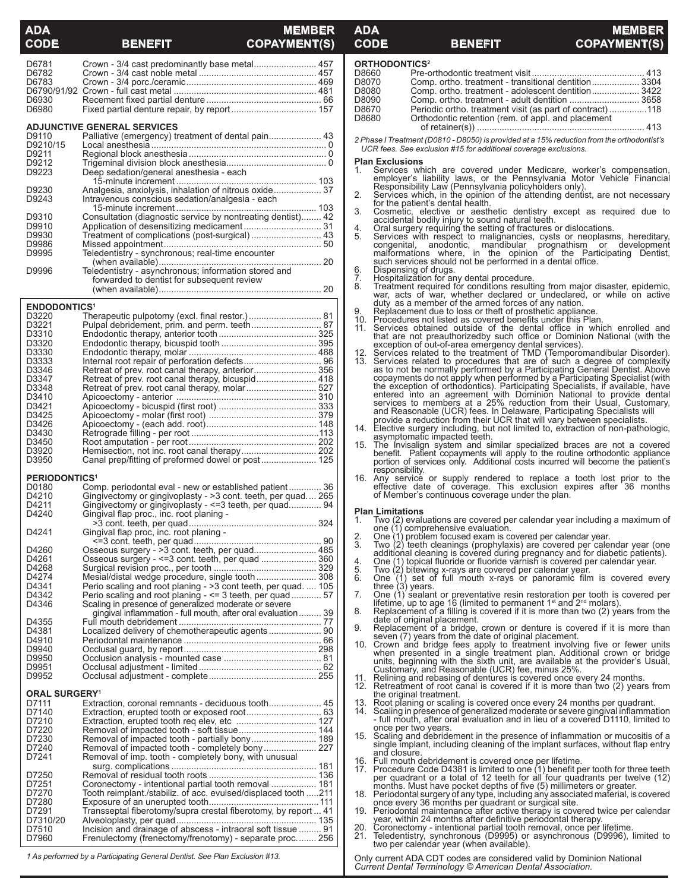## **MEMBER CODE BENEFIT COPAYMENT(S)**

| <u>uur</u>                      | <u>BENEFIL</u><br>VUFALMENTQJ                                                                                               |                     |
|---------------------------------|-----------------------------------------------------------------------------------------------------------------------------|---------------------|
| D6781                           | Crown - 3/4 cast predominantly base metal 457                                                                               | C                   |
| D6782                           |                                                                                                                             | Г                   |
| D6783                           |                                                                                                                             | Г                   |
|                                 |                                                                                                                             | Г<br>г              |
| D6930<br>D6980                  |                                                                                                                             | Г                   |
|                                 |                                                                                                                             | Г                   |
|                                 | <b>ADJUNCTIVE GENERAL SERVICES</b>                                                                                          |                     |
| D9110<br>D9210/15               |                                                                                                                             | 2                   |
| D9211                           |                                                                                                                             |                     |
| D9212                           |                                                                                                                             | F                   |
| D9223                           | Deep sedation/general anesthesia - each                                                                                     | 1                   |
|                                 |                                                                                                                             |                     |
| D9230<br>D9243                  | Analgesia, anxiolysis, inhalation of nitrous oxide 37<br>Intravenous conscious sedation/analgesia - each                    | 2                   |
|                                 |                                                                                                                             |                     |
| D9310                           | Consultation (diagnostic service by nontreating dentist) 42                                                                 | З                   |
| D9910                           |                                                                                                                             | 4                   |
| D9930                           | Treatment of complications (post-surgical)  43                                                                              |                     |
| D9986<br>D9995                  | Teledentistry - synchronous; real-time encounter                                                                            |                     |
|                                 |                                                                                                                             |                     |
| D9996                           | Teledentistry - asynchronous; information stored and                                                                        | Е                   |
|                                 | forwarded to dentist for subsequent review                                                                                  | 7                   |
|                                 |                                                                                                                             | ε                   |
| <b>ENDODONTICS<sup>1</sup></b>  |                                                                                                                             |                     |
| D3220                           |                                                                                                                             | ĉ                   |
| D3221                           |                                                                                                                             |                     |
| D3310                           |                                                                                                                             |                     |
| D3320<br>D3330                  |                                                                                                                             | 1                   |
| D3333                           |                                                                                                                             |                     |
| D3346                           |                                                                                                                             |                     |
| D3347                           | Retreat of prev. root canal therapy, bicuspid 418                                                                           |                     |
| D3348                           | Retreat of prev. root canal therapy, molar 527                                                                              |                     |
| D3410<br>D3421                  |                                                                                                                             |                     |
| D3425                           |                                                                                                                             |                     |
| D3426                           |                                                                                                                             | 1                   |
| D3430                           |                                                                                                                             |                     |
| D3450<br>D3920                  |                                                                                                                             | 1                   |
| D3950                           | Canal prep/fitting of preformed dowel or post 125                                                                           |                     |
|                                 |                                                                                                                             |                     |
| <b>PERIODONTICS<sup>1</sup></b> |                                                                                                                             | 1                   |
| D0180<br>D4210                  | Comp. periodontal eval - new or established patient 36<br>Gingivectomy or gingivoplasty - > 3 cont. teeth, per quad 265     |                     |
| D4211                           | Gingivectomy or gingivoplasty - <= 3 teeth, per quad 94                                                                     |                     |
| D4240                           | Gingival flap proc., inc. root planing -                                                                                    | F                   |
|                                 |                                                                                                                             | 1                   |
| D4241                           | Gingival flap proc, inc. root planing -                                                                                     | 3                   |
| D4260                           | Osseous surgery - >3 cont. teeth, per quad 485                                                                              |                     |
| D4261                           | Osseous surgery - <= 3 cont. teeth, per quad  360                                                                           | 4                   |
| D4268                           |                                                                                                                             | $\frac{5}{6}$       |
| D4274                           | Mesial/distal wedge procedure, single tooth  308                                                                            |                     |
| D4341<br>D4342                  | Perio scaling and root planing - > 3 cont teeth, per quad.  105<br>Perio scaling and root planing - <= 3 teeth, per quad 57 | 7                   |
| D4346                           | Scaling in presence of generalized moderate or severe                                                                       |                     |
|                                 | gingival inflammation - full mouth, after oral evaluation 39                                                                | 8                   |
| D4355                           |                                                                                                                             | g                   |
| D4381<br>D4910                  | Localized delivery of chemotherapeutic agents 90                                                                            |                     |
| D9940                           |                                                                                                                             | 1                   |
| D9950                           |                                                                                                                             |                     |
| D9951                           |                                                                                                                             |                     |
| D9952                           |                                                                                                                             | 1<br>$\overline{1}$ |
| <b>ORAL SURGERY<sup>1</sup></b> |                                                                                                                             |                     |
| D7111                           |                                                                                                                             | 1                   |
| D7140                           |                                                                                                                             | 1                   |
| D7210<br>D7220                  |                                                                                                                             |                     |
| D7230                           | Removal of impacted tooth - partially bony 189                                                                              | 1                   |
| D7240                           |                                                                                                                             |                     |
| D7241                           | Removal of imp. tooth - completely bony, with unusual                                                                       | 1                   |
|                                 |                                                                                                                             | 1                   |
| D7250<br>D7251                  | Coronectomy - intentional partial tooth removal  181                                                                        |                     |
| D7270                           | Tooth reimplant./stabiliz. of acc. evulsed/displaced tooth 211                                                              | 1                   |
| D7280                           |                                                                                                                             |                     |
|                                 |                                                                                                                             |                     |
| D7291                           | Transseptal fiberotomy/supra crestal fiberotomy, by report  41                                                              |                     |
| D7310/20                        |                                                                                                                             | 1                   |
| D7510                           | Incision and drainage of abscess - intraoral soft tissue  91                                                                | Σ                   |
| D7960                           | Frenulectomy (frenectomy/frenotomy) - separate proc 256                                                                     |                     |

| CODE                                               |                                 | <b>BENEFIT</b>                                                                                                                                                                                                                                                                                                                                                                                                                                                                                                                                                                                                                                                                                                                                                                                                     | <b>COPAYMENT(S)</b>                              |
|----------------------------------------------------|---------------------------------|--------------------------------------------------------------------------------------------------------------------------------------------------------------------------------------------------------------------------------------------------------------------------------------------------------------------------------------------------------------------------------------------------------------------------------------------------------------------------------------------------------------------------------------------------------------------------------------------------------------------------------------------------------------------------------------------------------------------------------------------------------------------------------------------------------------------|--------------------------------------------------|
|                                                    | <b>ORTHODONTICS<sup>2</sup></b> |                                                                                                                                                                                                                                                                                                                                                                                                                                                                                                                                                                                                                                                                                                                                                                                                                    |                                                  |
| D8660<br>D8070<br>D8080<br>D8090<br>D8670<br>D8680 |                                 | Comp. ortho. treatment - transitional dentition 3304<br>Comp. ortho. treatment - adolescent dentition 3422<br>Comp. ortho. treatment - adult dentition  3658<br>Periodic ortho. treatment visit (as part of contract)118<br>Orthodontic retention (rem. of appl. and placement                                                                                                                                                                                                                                                                                                                                                                                                                                                                                                                                     |                                                  |
|                                                    |                                 | 2 Phase I Treatment (D0810 - D8050) is provided at a 15% reduction from the orthodontist's<br>UCR fees. See exclusion #15 for additional coverage exclusions.                                                                                                                                                                                                                                                                                                                                                                                                                                                                                                                                                                                                                                                      |                                                  |
| 1.<br>2.                                           | <b>Plan Exclusions</b>          | Services which are covered under Medicare, worker's compensation, employer's liability laws, or the Pennsylvania Motor Vehicle Financial Responsibility Law (Pennsylvania policyholders only). Services which, in the opinion                                                                                                                                                                                                                                                                                                                                                                                                                                                                                                                                                                                      |                                                  |
| 3.                                                 |                                 | Cosmetic, elective or aesthetic dentistry except as required due to<br>accidental bodily injury to sound natural teeth.                                                                                                                                                                                                                                                                                                                                                                                                                                                                                                                                                                                                                                                                                            |                                                  |
| 4.<br>5.<br>6.                                     | congenital,                     | Oral surgery requiring the setting of fractures or dislocations.<br>Services with respect to malignancies, cysts or neoplasms, hereditary,<br>malformations where, in the opinion of the Participating Dentist,<br>such services should not be performed in a dental office.<br>Dispensing of drugs.                                                                                                                                                                                                                                                                                                                                                                                                                                                                                                               | anodontic, mandibular prognathism or development |
| 7.<br>8.<br>9.                                     |                                 | Hospitalization for any dental procedure.<br>Treatment required for conditions resulting from major disaster, epidemic,<br>war, acts of war, whether declared or undeclared, or while on active<br>duty as a member of the armed forces of any nation.<br>Replacement due to loss or theft of prosthetic appliance.                                                                                                                                                                                                                                                                                                                                                                                                                                                                                                |                                                  |
| 10.<br>11.                                         |                                 | Procedures not listed as covered benefits under this Plan.<br>Services obtained outside of the dental office in which enrolled and<br>that are not preauthorizedby such office or Dominion National (with the<br>exception of out-of-area emergency dental services).                                                                                                                                                                                                                                                                                                                                                                                                                                                                                                                                              |                                                  |
| 12.<br>13.                                         |                                 | Services related to the treatment of TMD (Temporomandibular Disorder).<br>Services related to procedures that are of such a degree of complexity<br>as to not be normally performed by a Participating General Dentist. Above<br>copayments do not apply when performed by a Participating Specialist (with<br>the exception of orthodontics). Participating Specialists, if available, have<br>entered into an agreement with Dominion National to provide dental<br>services to members at a 25% reduction from their Usual, Customary,<br>and Reasonable (UCR) fees. In Delaware, Participating Specialists will<br>provide a reduction from their UCR that will vary between specialists.<br>14. Elective surgery including, but not limited to, extraction of non-pathologic,<br>asymptomatic impacted teeth. |                                                  |
| 15.                                                | responsibility.                 | The Invisalign system and similar specialized braces are not a covered<br>benefit. Patient copayments will apply to the routine orthodontic appliance<br>portion of services only. Additional costs incurred will become the patient's                                                                                                                                                                                                                                                                                                                                                                                                                                                                                                                                                                             |                                                  |
|                                                    |                                 | 16. Any service or supply rendered to replace a tooth lost prior to the<br>effective date of coverage. This exclusion expires after 36 months<br>of Member's continuous coverage under the plan.                                                                                                                                                                                                                                                                                                                                                                                                                                                                                                                                                                                                                   |                                                  |
| 1.                                                 | <b>Plan Limitations</b>         | Two (2) evaluations are covered per calendar year including a maximum of                                                                                                                                                                                                                                                                                                                                                                                                                                                                                                                                                                                                                                                                                                                                           |                                                  |
| 2.                                                 |                                 | one (1) comprehensive evaluation.<br>One (1) problem focused exam is covered per calendar year.                                                                                                                                                                                                                                                                                                                                                                                                                                                                                                                                                                                                                                                                                                                    |                                                  |
| 3.<br>4.                                           |                                 | Two (2) teeth cleanings (prophylaxis) are covered per calendar year (one<br>additional cleaning is covered during pregnancy and for diabetic patients).<br>One (1) topical fluoride or fluoride varnish is covered per calendar year.                                                                                                                                                                                                                                                                                                                                                                                                                                                                                                                                                                              |                                                  |
| $\frac{5}{2}$<br>6.                                | three (3) years.                | Two (2) bitewing x-rays are covered per calendar year.<br>One (1) set of full mouth x-rays or panoramic film is covered every                                                                                                                                                                                                                                                                                                                                                                                                                                                                                                                                                                                                                                                                                      |                                                  |
| 7.<br>8.                                           |                                 | One (1) sealant or preventative resin restoration per tooth is covered per<br>lifetime, up to age 16 (limited to permanent $1st$ and $2nd$ molars).<br>Replacement of a filling is covered if it is more than two (2) years from the                                                                                                                                                                                                                                                                                                                                                                                                                                                                                                                                                                               |                                                  |
| 9.                                                 |                                 | date of original placement.<br>Replacement of a bridge, crown or denture is covered if it is more than                                                                                                                                                                                                                                                                                                                                                                                                                                                                                                                                                                                                                                                                                                             |                                                  |
| 10.                                                |                                 | seven (7) years from the date of original placement.<br>Crown and bridge fees apply to treatment involving five or fewer units<br>when presented in a single treatment plan. Additional crown or bridge<br>units, beginning with the sixth unit, are available at the provider's Usual,<br>Customary, and Reasonable (UCR) fee, minus 25%.                                                                                                                                                                                                                                                                                                                                                                                                                                                                         |                                                  |
| 11.<br>12.                                         |                                 | Relining and rebasing of dentures is covered once every 24 months.<br>Retreatment of root canal is covered if it is more than two (2) years from<br>the original treatment.                                                                                                                                                                                                                                                                                                                                                                                                                                                                                                                                                                                                                                        |                                                  |

**ADA MEMBER**

- 
- the original treatment.<br>13. Root planing or scaling is covered once every 24 months per quadrant.<br>14. Scaling in presence of generalized moderate or severe gingival inflammation<br>- full mouth, after oral evaluation and in l
- once per two years.<br>
15. Scaling and debridement in the presence of inflammation or mucositis of a<br>
single implant, including cleaning of the implant surfaces, without flap entry<br>
and closure.<br>
16. Full mouth debridement i
- 
- per quadrant or a total of 12 teeth for all four quadrants per twelve (12)<br>months. Must have pocket depths of five (5) millimeters or greater.<br>18. Periodontal surgery of any type, including any associated material, is cove
- once every 36 months per quadrant or surgical site. 19. Periodontal maintenance after active therapy is covered twice per calendar
- 
- 
- year, within 24 months after definitive periodontal therapy.<br>20. Coronectomy intentional partial tooth removal, once per lifetime.<br>21. Teledentistry, synchronous (D9995) or asynchronous (D9996), limited to<br>two per calend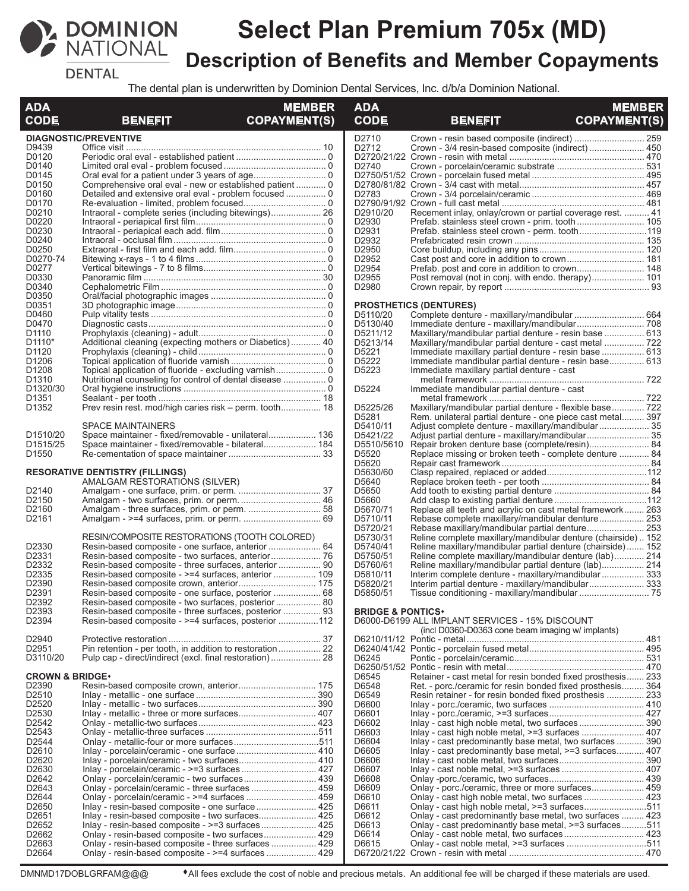

# **Select Plan Premium 705x (MD) Description of Benefits and Member Copayments**

**DENTAL** 

The dental plan is underwritten by Dominion Dental Services, Inc. d/b/a Dominion National.

| <b>DIAGNOSTIC/PREVENTIVE</b><br>D2710<br>D9439<br>D2712<br>Crown - 3/4 resin-based composite (indirect)  450<br>D0120<br>D0140<br>D2740<br>D0145<br>D0150<br>Comprehensive oral eval - new or established patient  0<br>D0160<br>D2783<br>D0170<br>D0210<br>D2910/20<br>Recement inlay, onlay/crown or partial coverage rest.  41<br>D0220<br>D <sub>2930</sub><br>D0230<br>D2931<br>D0240<br>D2932<br>D0250<br>D2950<br>D0270-74<br>D2952<br>D0277<br>D2954<br>D0330<br>D <sub>2955</sub><br>Post removal (not in conj. with endo. therapy) 101<br>D0340<br>D2980<br>D0350<br>D0351<br><b>PROSTHETICS (DENTURES)</b><br>D0460<br>D5110/20<br>Complete denture - maxillary/mandibular  664<br>D0470<br>D5130/40<br>D1110<br>D5211/12<br>Maxillary/mandibular partial denture - resin base  613<br>D1110*<br>Additional cleaning (expecting mothers or Diabetics) 40<br>D5213/14<br>D1120<br>D5221<br>Immediate maxillary partial denture - resin base  613<br>D1206<br>D5222<br>Immediate mandibular partial denture - resin base 613<br>D <sub>1208</sub><br>D5223<br>Immediate maxillary partial denture - cast<br>D1310<br>Nutritional counseling for control of dental disease  0<br>D5224<br>D <sub>1320</sub> /30<br>Immediate mandibular partial denture - cast<br>D <sub>1351</sub><br>Prev resin rest. mod/high caries risk – perm. tooth 18<br>D5225/26<br>Maxillary/mandibular partial denture - flexible base 722<br>D1352<br>D5281<br>Rem. unilateral partial denture - one piece cast metal 397<br><b>SPACE MAINTAINERS</b><br>D5410/11<br>Space maintainer - fixed/removable - unilateral 136<br>D5421/22<br>D <sub>1510</sub> /20<br>D5510/5610<br>D <sub>1515</sub> /25<br>Repair broken denture base (complete/resin) 84<br>D <sub>1550</sub><br>D5520<br>Replace missing or broken teeth - complete denture  84<br>D5620<br>D5630/60<br><b>RESORATIVE DENTISTRY (FILLINGS)</b><br>D5640<br>AMALGAM RESTORATIONS (SILVER)<br>D2140<br>D5650<br>D2150<br>D5660<br>D2160<br>D5670/71<br>Replace all teeth and acrylic on cast metal framework 263<br>Rebase complete maxillary/mandibular denture 253<br>D2161<br>D5710/11<br>D5720/21<br>Rebase maxillary/mandibular partial denture 253<br>RESIN/COMPOSITE RESTORATIONS (TOOTH COLORED)<br>D5730/31<br>Reline complete maxillary/mandibular denture (chairside)152<br>D2330<br>Resin-based composite - one surface, anterior  64<br>D5740/41<br>Reline maxillary/mandibular partial denture (chairside) 152<br>D2331<br>D5750/51<br>Reline complete maxillary/mandibular denture (lab) 214<br>D2332<br>D5760/61<br>Reline maxillary/mandibular partial denture (lab) 214<br>Resin-based composite - three surfaces, anterior  90<br>D2335<br>D5810/11<br>Interim complete denture - maxillary/mandibular 333<br>D2390<br>D5820/21<br>D <sub>2391</sub><br>Resin-based composite - one surface, posterior  68<br>D5850/51<br>D2392<br>Resin-based composite - two surfaces, posterior 80<br>D2393<br>Resin-based composite - three surfaces, posterior  93<br><b>BRIDGE &amp; PONTICS*</b><br>D2394<br>Resin-based composite - >=4 surfaces, posterior 112<br>D6000-D6199 ALL IMPLANT SERVICES - 15% DISCOUNT<br>(incl D0360-D0363 cone beam imaging w/ implants)<br>D2940<br>D2951<br>D6245<br>D3110/20<br>Retainer - cast metal for resin bonded fixed prosthesis 233<br><b>CROWN &amp; BRIDGE*</b><br>D6545<br>D2390<br>D6548<br>Ret. - porc./ceramic for resin bonded fixed prosthesis 364<br>D2510<br>D6549<br>Resin retainer - for resin bonded fixed prosthesis  233<br>D2520<br>D6600<br>Inlay - metallic - three or more surfaces 407<br>D2530<br>D6601<br>D2542<br>D6602<br>Inlay - cast high noble metal, two surfaces 390<br>D2543<br>D6603<br>D6604<br>Inlay - cast predominantly base metal, two surfaces  390<br>D <sub>2544</sub><br>D2610<br>D6605<br>Inlay - cast predominantly base metal, >=3 surfaces 407<br>D6606<br>D2620<br>D6607<br>D2630<br>D6608<br>D2642<br>D6609<br>Onlay - porc./ceramic, three or more surfaces 459<br>D2643<br>Onlay - porcelain/ceramic - three surfaces  459<br>Onlay - cast high noble metal, two surfaces  423<br>D2644<br>D6610<br>D6611<br>Onlay - cast high noble metal, >=3 surfaces511<br>D2650<br>Inlay - resin-based composite - one surface 425<br>D2651<br>Inlay - resin-based composite - two surfaces 425<br>D6612<br>Onlay - cast predominantly base metal, two surfaces  423<br>D6613<br>Onlay - cast predominantly base metal, >=3 surfaces511<br>D2652<br>D2662<br>Onlay - resin-based composite - two surfaces 429<br>D6614<br>D6615<br>D <sub>2663</sub><br>D <sub>2664</sub> | <b>ADA</b>  |                | <b>MEMBER</b>       | <b>ADA</b>  |                | <b>MEMBER</b>       |
|---------------------------------------------------------------------------------------------------------------------------------------------------------------------------------------------------------------------------------------------------------------------------------------------------------------------------------------------------------------------------------------------------------------------------------------------------------------------------------------------------------------------------------------------------------------------------------------------------------------------------------------------------------------------------------------------------------------------------------------------------------------------------------------------------------------------------------------------------------------------------------------------------------------------------------------------------------------------------------------------------------------------------------------------------------------------------------------------------------------------------------------------------------------------------------------------------------------------------------------------------------------------------------------------------------------------------------------------------------------------------------------------------------------------------------------------------------------------------------------------------------------------------------------------------------------------------------------------------------------------------------------------------------------------------------------------------------------------------------------------------------------------------------------------------------------------------------------------------------------------------------------------------------------------------------------------------------------------------------------------------------------------------------------------------------------------------------------------------------------------------------------------------------------------------------------------------------------------------------------------------------------------------------------------------------------------------------------------------------------------------------------------------------------------------------------------------------------------------------------------------------------------------------------------------------------------------------------------------------------------------------------------------------------------------------------------------------------------------------------------------------------------------------------------------------------------------------------------------------------------------------------------------------------------------------------------------------------------------------------------------------------------------------------------------------------------------------------------------------------------------------------------------------------------------------------------------------------------------------------------------------------------------------------------------------------------------------------------------------------------------------------------------------------------------------------------------------------------------------------------------------------------------------------------------------------------------------------------------------------------------------------------------------------------------------------------------------------------------------------------------------------------------------------------------------------------------------------------------------------------------------------------------------------------------------------------------------------------------------------------------------------------------------------------------------------------------------------------------------------------------------------------------------------------------------------------------------------------------------------------------------------------------------------------------------------------------------------------------------------------------------------------------------------------------------------------------------------------------------------------------------------------------------------------------------------------------------------------------------------------|-------------|----------------|---------------------|-------------|----------------|---------------------|
|                                                                                                                                                                                                                                                                                                                                                                                                                                                                                                                                                                                                                                                                                                                                                                                                                                                                                                                                                                                                                                                                                                                                                                                                                                                                                                                                                                                                                                                                                                                                                                                                                                                                                                                                                                                                                                                                                                                                                                                                                                                                                                                                                                                                                                                                                                                                                                                                                                                                                                                                                                                                                                                                                                                                                                                                                                                                                                                                                                                                                                                                                                                                                                                                                                                                                                                                                                                                                                                                                                                                                                                                                                                                                                                                                                                                                                                                                                                                                                                                                                                                                                                                                                                                                                                                                                                                                                                                                                                                                                                                                                                                                     | <b>CODE</b> | <b>BENEFIT</b> | <b>COPAYMENT(S)</b> | <b>CODE</b> | <b>BENEFIT</b> | <b>COPAYMENT(S)</b> |
|                                                                                                                                                                                                                                                                                                                                                                                                                                                                                                                                                                                                                                                                                                                                                                                                                                                                                                                                                                                                                                                                                                                                                                                                                                                                                                                                                                                                                                                                                                                                                                                                                                                                                                                                                                                                                                                                                                                                                                                                                                                                                                                                                                                                                                                                                                                                                                                                                                                                                                                                                                                                                                                                                                                                                                                                                                                                                                                                                                                                                                                                                                                                                                                                                                                                                                                                                                                                                                                                                                                                                                                                                                                                                                                                                                                                                                                                                                                                                                                                                                                                                                                                                                                                                                                                                                                                                                                                                                                                                                                                                                                                                     |             |                |                     |             |                |                     |
|                                                                                                                                                                                                                                                                                                                                                                                                                                                                                                                                                                                                                                                                                                                                                                                                                                                                                                                                                                                                                                                                                                                                                                                                                                                                                                                                                                                                                                                                                                                                                                                                                                                                                                                                                                                                                                                                                                                                                                                                                                                                                                                                                                                                                                                                                                                                                                                                                                                                                                                                                                                                                                                                                                                                                                                                                                                                                                                                                                                                                                                                                                                                                                                                                                                                                                                                                                                                                                                                                                                                                                                                                                                                                                                                                                                                                                                                                                                                                                                                                                                                                                                                                                                                                                                                                                                                                                                                                                                                                                                                                                                                                     |             |                |                     |             |                |                     |
|                                                                                                                                                                                                                                                                                                                                                                                                                                                                                                                                                                                                                                                                                                                                                                                                                                                                                                                                                                                                                                                                                                                                                                                                                                                                                                                                                                                                                                                                                                                                                                                                                                                                                                                                                                                                                                                                                                                                                                                                                                                                                                                                                                                                                                                                                                                                                                                                                                                                                                                                                                                                                                                                                                                                                                                                                                                                                                                                                                                                                                                                                                                                                                                                                                                                                                                                                                                                                                                                                                                                                                                                                                                                                                                                                                                                                                                                                                                                                                                                                                                                                                                                                                                                                                                                                                                                                                                                                                                                                                                                                                                                                     |             |                |                     |             |                |                     |
|                                                                                                                                                                                                                                                                                                                                                                                                                                                                                                                                                                                                                                                                                                                                                                                                                                                                                                                                                                                                                                                                                                                                                                                                                                                                                                                                                                                                                                                                                                                                                                                                                                                                                                                                                                                                                                                                                                                                                                                                                                                                                                                                                                                                                                                                                                                                                                                                                                                                                                                                                                                                                                                                                                                                                                                                                                                                                                                                                                                                                                                                                                                                                                                                                                                                                                                                                                                                                                                                                                                                                                                                                                                                                                                                                                                                                                                                                                                                                                                                                                                                                                                                                                                                                                                                                                                                                                                                                                                                                                                                                                                                                     |             |                |                     |             |                |                     |
|                                                                                                                                                                                                                                                                                                                                                                                                                                                                                                                                                                                                                                                                                                                                                                                                                                                                                                                                                                                                                                                                                                                                                                                                                                                                                                                                                                                                                                                                                                                                                                                                                                                                                                                                                                                                                                                                                                                                                                                                                                                                                                                                                                                                                                                                                                                                                                                                                                                                                                                                                                                                                                                                                                                                                                                                                                                                                                                                                                                                                                                                                                                                                                                                                                                                                                                                                                                                                                                                                                                                                                                                                                                                                                                                                                                                                                                                                                                                                                                                                                                                                                                                                                                                                                                                                                                                                                                                                                                                                                                                                                                                                     |             |                |                     |             |                |                     |
|                                                                                                                                                                                                                                                                                                                                                                                                                                                                                                                                                                                                                                                                                                                                                                                                                                                                                                                                                                                                                                                                                                                                                                                                                                                                                                                                                                                                                                                                                                                                                                                                                                                                                                                                                                                                                                                                                                                                                                                                                                                                                                                                                                                                                                                                                                                                                                                                                                                                                                                                                                                                                                                                                                                                                                                                                                                                                                                                                                                                                                                                                                                                                                                                                                                                                                                                                                                                                                                                                                                                                                                                                                                                                                                                                                                                                                                                                                                                                                                                                                                                                                                                                                                                                                                                                                                                                                                                                                                                                                                                                                                                                     |             |                |                     |             |                |                     |
|                                                                                                                                                                                                                                                                                                                                                                                                                                                                                                                                                                                                                                                                                                                                                                                                                                                                                                                                                                                                                                                                                                                                                                                                                                                                                                                                                                                                                                                                                                                                                                                                                                                                                                                                                                                                                                                                                                                                                                                                                                                                                                                                                                                                                                                                                                                                                                                                                                                                                                                                                                                                                                                                                                                                                                                                                                                                                                                                                                                                                                                                                                                                                                                                                                                                                                                                                                                                                                                                                                                                                                                                                                                                                                                                                                                                                                                                                                                                                                                                                                                                                                                                                                                                                                                                                                                                                                                                                                                                                                                                                                                                                     |             |                |                     |             |                |                     |
|                                                                                                                                                                                                                                                                                                                                                                                                                                                                                                                                                                                                                                                                                                                                                                                                                                                                                                                                                                                                                                                                                                                                                                                                                                                                                                                                                                                                                                                                                                                                                                                                                                                                                                                                                                                                                                                                                                                                                                                                                                                                                                                                                                                                                                                                                                                                                                                                                                                                                                                                                                                                                                                                                                                                                                                                                                                                                                                                                                                                                                                                                                                                                                                                                                                                                                                                                                                                                                                                                                                                                                                                                                                                                                                                                                                                                                                                                                                                                                                                                                                                                                                                                                                                                                                                                                                                                                                                                                                                                                                                                                                                                     |             |                |                     |             |                |                     |
|                                                                                                                                                                                                                                                                                                                                                                                                                                                                                                                                                                                                                                                                                                                                                                                                                                                                                                                                                                                                                                                                                                                                                                                                                                                                                                                                                                                                                                                                                                                                                                                                                                                                                                                                                                                                                                                                                                                                                                                                                                                                                                                                                                                                                                                                                                                                                                                                                                                                                                                                                                                                                                                                                                                                                                                                                                                                                                                                                                                                                                                                                                                                                                                                                                                                                                                                                                                                                                                                                                                                                                                                                                                                                                                                                                                                                                                                                                                                                                                                                                                                                                                                                                                                                                                                                                                                                                                                                                                                                                                                                                                                                     |             |                |                     |             |                |                     |
|                                                                                                                                                                                                                                                                                                                                                                                                                                                                                                                                                                                                                                                                                                                                                                                                                                                                                                                                                                                                                                                                                                                                                                                                                                                                                                                                                                                                                                                                                                                                                                                                                                                                                                                                                                                                                                                                                                                                                                                                                                                                                                                                                                                                                                                                                                                                                                                                                                                                                                                                                                                                                                                                                                                                                                                                                                                                                                                                                                                                                                                                                                                                                                                                                                                                                                                                                                                                                                                                                                                                                                                                                                                                                                                                                                                                                                                                                                                                                                                                                                                                                                                                                                                                                                                                                                                                                                                                                                                                                                                                                                                                                     |             |                |                     |             |                |                     |
|                                                                                                                                                                                                                                                                                                                                                                                                                                                                                                                                                                                                                                                                                                                                                                                                                                                                                                                                                                                                                                                                                                                                                                                                                                                                                                                                                                                                                                                                                                                                                                                                                                                                                                                                                                                                                                                                                                                                                                                                                                                                                                                                                                                                                                                                                                                                                                                                                                                                                                                                                                                                                                                                                                                                                                                                                                                                                                                                                                                                                                                                                                                                                                                                                                                                                                                                                                                                                                                                                                                                                                                                                                                                                                                                                                                                                                                                                                                                                                                                                                                                                                                                                                                                                                                                                                                                                                                                                                                                                                                                                                                                                     |             |                |                     |             |                |                     |
|                                                                                                                                                                                                                                                                                                                                                                                                                                                                                                                                                                                                                                                                                                                                                                                                                                                                                                                                                                                                                                                                                                                                                                                                                                                                                                                                                                                                                                                                                                                                                                                                                                                                                                                                                                                                                                                                                                                                                                                                                                                                                                                                                                                                                                                                                                                                                                                                                                                                                                                                                                                                                                                                                                                                                                                                                                                                                                                                                                                                                                                                                                                                                                                                                                                                                                                                                                                                                                                                                                                                                                                                                                                                                                                                                                                                                                                                                                                                                                                                                                                                                                                                                                                                                                                                                                                                                                                                                                                                                                                                                                                                                     |             |                |                     |             |                |                     |
|                                                                                                                                                                                                                                                                                                                                                                                                                                                                                                                                                                                                                                                                                                                                                                                                                                                                                                                                                                                                                                                                                                                                                                                                                                                                                                                                                                                                                                                                                                                                                                                                                                                                                                                                                                                                                                                                                                                                                                                                                                                                                                                                                                                                                                                                                                                                                                                                                                                                                                                                                                                                                                                                                                                                                                                                                                                                                                                                                                                                                                                                                                                                                                                                                                                                                                                                                                                                                                                                                                                                                                                                                                                                                                                                                                                                                                                                                                                                                                                                                                                                                                                                                                                                                                                                                                                                                                                                                                                                                                                                                                                                                     |             |                |                     |             |                |                     |
|                                                                                                                                                                                                                                                                                                                                                                                                                                                                                                                                                                                                                                                                                                                                                                                                                                                                                                                                                                                                                                                                                                                                                                                                                                                                                                                                                                                                                                                                                                                                                                                                                                                                                                                                                                                                                                                                                                                                                                                                                                                                                                                                                                                                                                                                                                                                                                                                                                                                                                                                                                                                                                                                                                                                                                                                                                                                                                                                                                                                                                                                                                                                                                                                                                                                                                                                                                                                                                                                                                                                                                                                                                                                                                                                                                                                                                                                                                                                                                                                                                                                                                                                                                                                                                                                                                                                                                                                                                                                                                                                                                                                                     |             |                |                     |             |                |                     |
|                                                                                                                                                                                                                                                                                                                                                                                                                                                                                                                                                                                                                                                                                                                                                                                                                                                                                                                                                                                                                                                                                                                                                                                                                                                                                                                                                                                                                                                                                                                                                                                                                                                                                                                                                                                                                                                                                                                                                                                                                                                                                                                                                                                                                                                                                                                                                                                                                                                                                                                                                                                                                                                                                                                                                                                                                                                                                                                                                                                                                                                                                                                                                                                                                                                                                                                                                                                                                                                                                                                                                                                                                                                                                                                                                                                                                                                                                                                                                                                                                                                                                                                                                                                                                                                                                                                                                                                                                                                                                                                                                                                                                     |             |                |                     |             |                |                     |
|                                                                                                                                                                                                                                                                                                                                                                                                                                                                                                                                                                                                                                                                                                                                                                                                                                                                                                                                                                                                                                                                                                                                                                                                                                                                                                                                                                                                                                                                                                                                                                                                                                                                                                                                                                                                                                                                                                                                                                                                                                                                                                                                                                                                                                                                                                                                                                                                                                                                                                                                                                                                                                                                                                                                                                                                                                                                                                                                                                                                                                                                                                                                                                                                                                                                                                                                                                                                                                                                                                                                                                                                                                                                                                                                                                                                                                                                                                                                                                                                                                                                                                                                                                                                                                                                                                                                                                                                                                                                                                                                                                                                                     |             |                |                     |             |                |                     |
|                                                                                                                                                                                                                                                                                                                                                                                                                                                                                                                                                                                                                                                                                                                                                                                                                                                                                                                                                                                                                                                                                                                                                                                                                                                                                                                                                                                                                                                                                                                                                                                                                                                                                                                                                                                                                                                                                                                                                                                                                                                                                                                                                                                                                                                                                                                                                                                                                                                                                                                                                                                                                                                                                                                                                                                                                                                                                                                                                                                                                                                                                                                                                                                                                                                                                                                                                                                                                                                                                                                                                                                                                                                                                                                                                                                                                                                                                                                                                                                                                                                                                                                                                                                                                                                                                                                                                                                                                                                                                                                                                                                                                     |             |                |                     |             |                |                     |
|                                                                                                                                                                                                                                                                                                                                                                                                                                                                                                                                                                                                                                                                                                                                                                                                                                                                                                                                                                                                                                                                                                                                                                                                                                                                                                                                                                                                                                                                                                                                                                                                                                                                                                                                                                                                                                                                                                                                                                                                                                                                                                                                                                                                                                                                                                                                                                                                                                                                                                                                                                                                                                                                                                                                                                                                                                                                                                                                                                                                                                                                                                                                                                                                                                                                                                                                                                                                                                                                                                                                                                                                                                                                                                                                                                                                                                                                                                                                                                                                                                                                                                                                                                                                                                                                                                                                                                                                                                                                                                                                                                                                                     |             |                |                     |             |                |                     |
|                                                                                                                                                                                                                                                                                                                                                                                                                                                                                                                                                                                                                                                                                                                                                                                                                                                                                                                                                                                                                                                                                                                                                                                                                                                                                                                                                                                                                                                                                                                                                                                                                                                                                                                                                                                                                                                                                                                                                                                                                                                                                                                                                                                                                                                                                                                                                                                                                                                                                                                                                                                                                                                                                                                                                                                                                                                                                                                                                                                                                                                                                                                                                                                                                                                                                                                                                                                                                                                                                                                                                                                                                                                                                                                                                                                                                                                                                                                                                                                                                                                                                                                                                                                                                                                                                                                                                                                                                                                                                                                                                                                                                     |             |                |                     |             |                |                     |
|                                                                                                                                                                                                                                                                                                                                                                                                                                                                                                                                                                                                                                                                                                                                                                                                                                                                                                                                                                                                                                                                                                                                                                                                                                                                                                                                                                                                                                                                                                                                                                                                                                                                                                                                                                                                                                                                                                                                                                                                                                                                                                                                                                                                                                                                                                                                                                                                                                                                                                                                                                                                                                                                                                                                                                                                                                                                                                                                                                                                                                                                                                                                                                                                                                                                                                                                                                                                                                                                                                                                                                                                                                                                                                                                                                                                                                                                                                                                                                                                                                                                                                                                                                                                                                                                                                                                                                                                                                                                                                                                                                                                                     |             |                |                     |             |                |                     |
|                                                                                                                                                                                                                                                                                                                                                                                                                                                                                                                                                                                                                                                                                                                                                                                                                                                                                                                                                                                                                                                                                                                                                                                                                                                                                                                                                                                                                                                                                                                                                                                                                                                                                                                                                                                                                                                                                                                                                                                                                                                                                                                                                                                                                                                                                                                                                                                                                                                                                                                                                                                                                                                                                                                                                                                                                                                                                                                                                                                                                                                                                                                                                                                                                                                                                                                                                                                                                                                                                                                                                                                                                                                                                                                                                                                                                                                                                                                                                                                                                                                                                                                                                                                                                                                                                                                                                                                                                                                                                                                                                                                                                     |             |                |                     |             |                |                     |
|                                                                                                                                                                                                                                                                                                                                                                                                                                                                                                                                                                                                                                                                                                                                                                                                                                                                                                                                                                                                                                                                                                                                                                                                                                                                                                                                                                                                                                                                                                                                                                                                                                                                                                                                                                                                                                                                                                                                                                                                                                                                                                                                                                                                                                                                                                                                                                                                                                                                                                                                                                                                                                                                                                                                                                                                                                                                                                                                                                                                                                                                                                                                                                                                                                                                                                                                                                                                                                                                                                                                                                                                                                                                                                                                                                                                                                                                                                                                                                                                                                                                                                                                                                                                                                                                                                                                                                                                                                                                                                                                                                                                                     |             |                |                     |             |                |                     |
|                                                                                                                                                                                                                                                                                                                                                                                                                                                                                                                                                                                                                                                                                                                                                                                                                                                                                                                                                                                                                                                                                                                                                                                                                                                                                                                                                                                                                                                                                                                                                                                                                                                                                                                                                                                                                                                                                                                                                                                                                                                                                                                                                                                                                                                                                                                                                                                                                                                                                                                                                                                                                                                                                                                                                                                                                                                                                                                                                                                                                                                                                                                                                                                                                                                                                                                                                                                                                                                                                                                                                                                                                                                                                                                                                                                                                                                                                                                                                                                                                                                                                                                                                                                                                                                                                                                                                                                                                                                                                                                                                                                                                     |             |                |                     |             |                |                     |
|                                                                                                                                                                                                                                                                                                                                                                                                                                                                                                                                                                                                                                                                                                                                                                                                                                                                                                                                                                                                                                                                                                                                                                                                                                                                                                                                                                                                                                                                                                                                                                                                                                                                                                                                                                                                                                                                                                                                                                                                                                                                                                                                                                                                                                                                                                                                                                                                                                                                                                                                                                                                                                                                                                                                                                                                                                                                                                                                                                                                                                                                                                                                                                                                                                                                                                                                                                                                                                                                                                                                                                                                                                                                                                                                                                                                                                                                                                                                                                                                                                                                                                                                                                                                                                                                                                                                                                                                                                                                                                                                                                                                                     |             |                |                     |             |                |                     |
|                                                                                                                                                                                                                                                                                                                                                                                                                                                                                                                                                                                                                                                                                                                                                                                                                                                                                                                                                                                                                                                                                                                                                                                                                                                                                                                                                                                                                                                                                                                                                                                                                                                                                                                                                                                                                                                                                                                                                                                                                                                                                                                                                                                                                                                                                                                                                                                                                                                                                                                                                                                                                                                                                                                                                                                                                                                                                                                                                                                                                                                                                                                                                                                                                                                                                                                                                                                                                                                                                                                                                                                                                                                                                                                                                                                                                                                                                                                                                                                                                                                                                                                                                                                                                                                                                                                                                                                                                                                                                                                                                                                                                     |             |                |                     |             |                |                     |
|                                                                                                                                                                                                                                                                                                                                                                                                                                                                                                                                                                                                                                                                                                                                                                                                                                                                                                                                                                                                                                                                                                                                                                                                                                                                                                                                                                                                                                                                                                                                                                                                                                                                                                                                                                                                                                                                                                                                                                                                                                                                                                                                                                                                                                                                                                                                                                                                                                                                                                                                                                                                                                                                                                                                                                                                                                                                                                                                                                                                                                                                                                                                                                                                                                                                                                                                                                                                                                                                                                                                                                                                                                                                                                                                                                                                                                                                                                                                                                                                                                                                                                                                                                                                                                                                                                                                                                                                                                                                                                                                                                                                                     |             |                |                     |             |                |                     |
|                                                                                                                                                                                                                                                                                                                                                                                                                                                                                                                                                                                                                                                                                                                                                                                                                                                                                                                                                                                                                                                                                                                                                                                                                                                                                                                                                                                                                                                                                                                                                                                                                                                                                                                                                                                                                                                                                                                                                                                                                                                                                                                                                                                                                                                                                                                                                                                                                                                                                                                                                                                                                                                                                                                                                                                                                                                                                                                                                                                                                                                                                                                                                                                                                                                                                                                                                                                                                                                                                                                                                                                                                                                                                                                                                                                                                                                                                                                                                                                                                                                                                                                                                                                                                                                                                                                                                                                                                                                                                                                                                                                                                     |             |                |                     |             |                |                     |
|                                                                                                                                                                                                                                                                                                                                                                                                                                                                                                                                                                                                                                                                                                                                                                                                                                                                                                                                                                                                                                                                                                                                                                                                                                                                                                                                                                                                                                                                                                                                                                                                                                                                                                                                                                                                                                                                                                                                                                                                                                                                                                                                                                                                                                                                                                                                                                                                                                                                                                                                                                                                                                                                                                                                                                                                                                                                                                                                                                                                                                                                                                                                                                                                                                                                                                                                                                                                                                                                                                                                                                                                                                                                                                                                                                                                                                                                                                                                                                                                                                                                                                                                                                                                                                                                                                                                                                                                                                                                                                                                                                                                                     |             |                |                     |             |                |                     |
|                                                                                                                                                                                                                                                                                                                                                                                                                                                                                                                                                                                                                                                                                                                                                                                                                                                                                                                                                                                                                                                                                                                                                                                                                                                                                                                                                                                                                                                                                                                                                                                                                                                                                                                                                                                                                                                                                                                                                                                                                                                                                                                                                                                                                                                                                                                                                                                                                                                                                                                                                                                                                                                                                                                                                                                                                                                                                                                                                                                                                                                                                                                                                                                                                                                                                                                                                                                                                                                                                                                                                                                                                                                                                                                                                                                                                                                                                                                                                                                                                                                                                                                                                                                                                                                                                                                                                                                                                                                                                                                                                                                                                     |             |                |                     |             |                |                     |
|                                                                                                                                                                                                                                                                                                                                                                                                                                                                                                                                                                                                                                                                                                                                                                                                                                                                                                                                                                                                                                                                                                                                                                                                                                                                                                                                                                                                                                                                                                                                                                                                                                                                                                                                                                                                                                                                                                                                                                                                                                                                                                                                                                                                                                                                                                                                                                                                                                                                                                                                                                                                                                                                                                                                                                                                                                                                                                                                                                                                                                                                                                                                                                                                                                                                                                                                                                                                                                                                                                                                                                                                                                                                                                                                                                                                                                                                                                                                                                                                                                                                                                                                                                                                                                                                                                                                                                                                                                                                                                                                                                                                                     |             |                |                     |             |                |                     |
|                                                                                                                                                                                                                                                                                                                                                                                                                                                                                                                                                                                                                                                                                                                                                                                                                                                                                                                                                                                                                                                                                                                                                                                                                                                                                                                                                                                                                                                                                                                                                                                                                                                                                                                                                                                                                                                                                                                                                                                                                                                                                                                                                                                                                                                                                                                                                                                                                                                                                                                                                                                                                                                                                                                                                                                                                                                                                                                                                                                                                                                                                                                                                                                                                                                                                                                                                                                                                                                                                                                                                                                                                                                                                                                                                                                                                                                                                                                                                                                                                                                                                                                                                                                                                                                                                                                                                                                                                                                                                                                                                                                                                     |             |                |                     |             |                |                     |
|                                                                                                                                                                                                                                                                                                                                                                                                                                                                                                                                                                                                                                                                                                                                                                                                                                                                                                                                                                                                                                                                                                                                                                                                                                                                                                                                                                                                                                                                                                                                                                                                                                                                                                                                                                                                                                                                                                                                                                                                                                                                                                                                                                                                                                                                                                                                                                                                                                                                                                                                                                                                                                                                                                                                                                                                                                                                                                                                                                                                                                                                                                                                                                                                                                                                                                                                                                                                                                                                                                                                                                                                                                                                                                                                                                                                                                                                                                                                                                                                                                                                                                                                                                                                                                                                                                                                                                                                                                                                                                                                                                                                                     |             |                |                     |             |                |                     |
|                                                                                                                                                                                                                                                                                                                                                                                                                                                                                                                                                                                                                                                                                                                                                                                                                                                                                                                                                                                                                                                                                                                                                                                                                                                                                                                                                                                                                                                                                                                                                                                                                                                                                                                                                                                                                                                                                                                                                                                                                                                                                                                                                                                                                                                                                                                                                                                                                                                                                                                                                                                                                                                                                                                                                                                                                                                                                                                                                                                                                                                                                                                                                                                                                                                                                                                                                                                                                                                                                                                                                                                                                                                                                                                                                                                                                                                                                                                                                                                                                                                                                                                                                                                                                                                                                                                                                                                                                                                                                                                                                                                                                     |             |                |                     |             |                |                     |
|                                                                                                                                                                                                                                                                                                                                                                                                                                                                                                                                                                                                                                                                                                                                                                                                                                                                                                                                                                                                                                                                                                                                                                                                                                                                                                                                                                                                                                                                                                                                                                                                                                                                                                                                                                                                                                                                                                                                                                                                                                                                                                                                                                                                                                                                                                                                                                                                                                                                                                                                                                                                                                                                                                                                                                                                                                                                                                                                                                                                                                                                                                                                                                                                                                                                                                                                                                                                                                                                                                                                                                                                                                                                                                                                                                                                                                                                                                                                                                                                                                                                                                                                                                                                                                                                                                                                                                                                                                                                                                                                                                                                                     |             |                |                     |             |                |                     |
|                                                                                                                                                                                                                                                                                                                                                                                                                                                                                                                                                                                                                                                                                                                                                                                                                                                                                                                                                                                                                                                                                                                                                                                                                                                                                                                                                                                                                                                                                                                                                                                                                                                                                                                                                                                                                                                                                                                                                                                                                                                                                                                                                                                                                                                                                                                                                                                                                                                                                                                                                                                                                                                                                                                                                                                                                                                                                                                                                                                                                                                                                                                                                                                                                                                                                                                                                                                                                                                                                                                                                                                                                                                                                                                                                                                                                                                                                                                                                                                                                                                                                                                                                                                                                                                                                                                                                                                                                                                                                                                                                                                                                     |             |                |                     |             |                |                     |
|                                                                                                                                                                                                                                                                                                                                                                                                                                                                                                                                                                                                                                                                                                                                                                                                                                                                                                                                                                                                                                                                                                                                                                                                                                                                                                                                                                                                                                                                                                                                                                                                                                                                                                                                                                                                                                                                                                                                                                                                                                                                                                                                                                                                                                                                                                                                                                                                                                                                                                                                                                                                                                                                                                                                                                                                                                                                                                                                                                                                                                                                                                                                                                                                                                                                                                                                                                                                                                                                                                                                                                                                                                                                                                                                                                                                                                                                                                                                                                                                                                                                                                                                                                                                                                                                                                                                                                                                                                                                                                                                                                                                                     |             |                |                     |             |                |                     |
|                                                                                                                                                                                                                                                                                                                                                                                                                                                                                                                                                                                                                                                                                                                                                                                                                                                                                                                                                                                                                                                                                                                                                                                                                                                                                                                                                                                                                                                                                                                                                                                                                                                                                                                                                                                                                                                                                                                                                                                                                                                                                                                                                                                                                                                                                                                                                                                                                                                                                                                                                                                                                                                                                                                                                                                                                                                                                                                                                                                                                                                                                                                                                                                                                                                                                                                                                                                                                                                                                                                                                                                                                                                                                                                                                                                                                                                                                                                                                                                                                                                                                                                                                                                                                                                                                                                                                                                                                                                                                                                                                                                                                     |             |                |                     |             |                |                     |
|                                                                                                                                                                                                                                                                                                                                                                                                                                                                                                                                                                                                                                                                                                                                                                                                                                                                                                                                                                                                                                                                                                                                                                                                                                                                                                                                                                                                                                                                                                                                                                                                                                                                                                                                                                                                                                                                                                                                                                                                                                                                                                                                                                                                                                                                                                                                                                                                                                                                                                                                                                                                                                                                                                                                                                                                                                                                                                                                                                                                                                                                                                                                                                                                                                                                                                                                                                                                                                                                                                                                                                                                                                                                                                                                                                                                                                                                                                                                                                                                                                                                                                                                                                                                                                                                                                                                                                                                                                                                                                                                                                                                                     |             |                |                     |             |                |                     |
|                                                                                                                                                                                                                                                                                                                                                                                                                                                                                                                                                                                                                                                                                                                                                                                                                                                                                                                                                                                                                                                                                                                                                                                                                                                                                                                                                                                                                                                                                                                                                                                                                                                                                                                                                                                                                                                                                                                                                                                                                                                                                                                                                                                                                                                                                                                                                                                                                                                                                                                                                                                                                                                                                                                                                                                                                                                                                                                                                                                                                                                                                                                                                                                                                                                                                                                                                                                                                                                                                                                                                                                                                                                                                                                                                                                                                                                                                                                                                                                                                                                                                                                                                                                                                                                                                                                                                                                                                                                                                                                                                                                                                     |             |                |                     |             |                |                     |
|                                                                                                                                                                                                                                                                                                                                                                                                                                                                                                                                                                                                                                                                                                                                                                                                                                                                                                                                                                                                                                                                                                                                                                                                                                                                                                                                                                                                                                                                                                                                                                                                                                                                                                                                                                                                                                                                                                                                                                                                                                                                                                                                                                                                                                                                                                                                                                                                                                                                                                                                                                                                                                                                                                                                                                                                                                                                                                                                                                                                                                                                                                                                                                                                                                                                                                                                                                                                                                                                                                                                                                                                                                                                                                                                                                                                                                                                                                                                                                                                                                                                                                                                                                                                                                                                                                                                                                                                                                                                                                                                                                                                                     |             |                |                     |             |                |                     |
|                                                                                                                                                                                                                                                                                                                                                                                                                                                                                                                                                                                                                                                                                                                                                                                                                                                                                                                                                                                                                                                                                                                                                                                                                                                                                                                                                                                                                                                                                                                                                                                                                                                                                                                                                                                                                                                                                                                                                                                                                                                                                                                                                                                                                                                                                                                                                                                                                                                                                                                                                                                                                                                                                                                                                                                                                                                                                                                                                                                                                                                                                                                                                                                                                                                                                                                                                                                                                                                                                                                                                                                                                                                                                                                                                                                                                                                                                                                                                                                                                                                                                                                                                                                                                                                                                                                                                                                                                                                                                                                                                                                                                     |             |                |                     |             |                |                     |
|                                                                                                                                                                                                                                                                                                                                                                                                                                                                                                                                                                                                                                                                                                                                                                                                                                                                                                                                                                                                                                                                                                                                                                                                                                                                                                                                                                                                                                                                                                                                                                                                                                                                                                                                                                                                                                                                                                                                                                                                                                                                                                                                                                                                                                                                                                                                                                                                                                                                                                                                                                                                                                                                                                                                                                                                                                                                                                                                                                                                                                                                                                                                                                                                                                                                                                                                                                                                                                                                                                                                                                                                                                                                                                                                                                                                                                                                                                                                                                                                                                                                                                                                                                                                                                                                                                                                                                                                                                                                                                                                                                                                                     |             |                |                     |             |                |                     |
|                                                                                                                                                                                                                                                                                                                                                                                                                                                                                                                                                                                                                                                                                                                                                                                                                                                                                                                                                                                                                                                                                                                                                                                                                                                                                                                                                                                                                                                                                                                                                                                                                                                                                                                                                                                                                                                                                                                                                                                                                                                                                                                                                                                                                                                                                                                                                                                                                                                                                                                                                                                                                                                                                                                                                                                                                                                                                                                                                                                                                                                                                                                                                                                                                                                                                                                                                                                                                                                                                                                                                                                                                                                                                                                                                                                                                                                                                                                                                                                                                                                                                                                                                                                                                                                                                                                                                                                                                                                                                                                                                                                                                     |             |                |                     |             |                |                     |
|                                                                                                                                                                                                                                                                                                                                                                                                                                                                                                                                                                                                                                                                                                                                                                                                                                                                                                                                                                                                                                                                                                                                                                                                                                                                                                                                                                                                                                                                                                                                                                                                                                                                                                                                                                                                                                                                                                                                                                                                                                                                                                                                                                                                                                                                                                                                                                                                                                                                                                                                                                                                                                                                                                                                                                                                                                                                                                                                                                                                                                                                                                                                                                                                                                                                                                                                                                                                                                                                                                                                                                                                                                                                                                                                                                                                                                                                                                                                                                                                                                                                                                                                                                                                                                                                                                                                                                                                                                                                                                                                                                                                                     |             |                |                     |             |                |                     |
|                                                                                                                                                                                                                                                                                                                                                                                                                                                                                                                                                                                                                                                                                                                                                                                                                                                                                                                                                                                                                                                                                                                                                                                                                                                                                                                                                                                                                                                                                                                                                                                                                                                                                                                                                                                                                                                                                                                                                                                                                                                                                                                                                                                                                                                                                                                                                                                                                                                                                                                                                                                                                                                                                                                                                                                                                                                                                                                                                                                                                                                                                                                                                                                                                                                                                                                                                                                                                                                                                                                                                                                                                                                                                                                                                                                                                                                                                                                                                                                                                                                                                                                                                                                                                                                                                                                                                                                                                                                                                                                                                                                                                     |             |                |                     |             |                |                     |
|                                                                                                                                                                                                                                                                                                                                                                                                                                                                                                                                                                                                                                                                                                                                                                                                                                                                                                                                                                                                                                                                                                                                                                                                                                                                                                                                                                                                                                                                                                                                                                                                                                                                                                                                                                                                                                                                                                                                                                                                                                                                                                                                                                                                                                                                                                                                                                                                                                                                                                                                                                                                                                                                                                                                                                                                                                                                                                                                                                                                                                                                                                                                                                                                                                                                                                                                                                                                                                                                                                                                                                                                                                                                                                                                                                                                                                                                                                                                                                                                                                                                                                                                                                                                                                                                                                                                                                                                                                                                                                                                                                                                                     |             |                |                     |             |                |                     |
|                                                                                                                                                                                                                                                                                                                                                                                                                                                                                                                                                                                                                                                                                                                                                                                                                                                                                                                                                                                                                                                                                                                                                                                                                                                                                                                                                                                                                                                                                                                                                                                                                                                                                                                                                                                                                                                                                                                                                                                                                                                                                                                                                                                                                                                                                                                                                                                                                                                                                                                                                                                                                                                                                                                                                                                                                                                                                                                                                                                                                                                                                                                                                                                                                                                                                                                                                                                                                                                                                                                                                                                                                                                                                                                                                                                                                                                                                                                                                                                                                                                                                                                                                                                                                                                                                                                                                                                                                                                                                                                                                                                                                     |             |                |                     |             |                |                     |
|                                                                                                                                                                                                                                                                                                                                                                                                                                                                                                                                                                                                                                                                                                                                                                                                                                                                                                                                                                                                                                                                                                                                                                                                                                                                                                                                                                                                                                                                                                                                                                                                                                                                                                                                                                                                                                                                                                                                                                                                                                                                                                                                                                                                                                                                                                                                                                                                                                                                                                                                                                                                                                                                                                                                                                                                                                                                                                                                                                                                                                                                                                                                                                                                                                                                                                                                                                                                                                                                                                                                                                                                                                                                                                                                                                                                                                                                                                                                                                                                                                                                                                                                                                                                                                                                                                                                                                                                                                                                                                                                                                                                                     |             |                |                     |             |                |                     |
|                                                                                                                                                                                                                                                                                                                                                                                                                                                                                                                                                                                                                                                                                                                                                                                                                                                                                                                                                                                                                                                                                                                                                                                                                                                                                                                                                                                                                                                                                                                                                                                                                                                                                                                                                                                                                                                                                                                                                                                                                                                                                                                                                                                                                                                                                                                                                                                                                                                                                                                                                                                                                                                                                                                                                                                                                                                                                                                                                                                                                                                                                                                                                                                                                                                                                                                                                                                                                                                                                                                                                                                                                                                                                                                                                                                                                                                                                                                                                                                                                                                                                                                                                                                                                                                                                                                                                                                                                                                                                                                                                                                                                     |             |                |                     |             |                |                     |
|                                                                                                                                                                                                                                                                                                                                                                                                                                                                                                                                                                                                                                                                                                                                                                                                                                                                                                                                                                                                                                                                                                                                                                                                                                                                                                                                                                                                                                                                                                                                                                                                                                                                                                                                                                                                                                                                                                                                                                                                                                                                                                                                                                                                                                                                                                                                                                                                                                                                                                                                                                                                                                                                                                                                                                                                                                                                                                                                                                                                                                                                                                                                                                                                                                                                                                                                                                                                                                                                                                                                                                                                                                                                                                                                                                                                                                                                                                                                                                                                                                                                                                                                                                                                                                                                                                                                                                                                                                                                                                                                                                                                                     |             |                |                     |             |                |                     |
|                                                                                                                                                                                                                                                                                                                                                                                                                                                                                                                                                                                                                                                                                                                                                                                                                                                                                                                                                                                                                                                                                                                                                                                                                                                                                                                                                                                                                                                                                                                                                                                                                                                                                                                                                                                                                                                                                                                                                                                                                                                                                                                                                                                                                                                                                                                                                                                                                                                                                                                                                                                                                                                                                                                                                                                                                                                                                                                                                                                                                                                                                                                                                                                                                                                                                                                                                                                                                                                                                                                                                                                                                                                                                                                                                                                                                                                                                                                                                                                                                                                                                                                                                                                                                                                                                                                                                                                                                                                                                                                                                                                                                     |             |                |                     |             |                |                     |
|                                                                                                                                                                                                                                                                                                                                                                                                                                                                                                                                                                                                                                                                                                                                                                                                                                                                                                                                                                                                                                                                                                                                                                                                                                                                                                                                                                                                                                                                                                                                                                                                                                                                                                                                                                                                                                                                                                                                                                                                                                                                                                                                                                                                                                                                                                                                                                                                                                                                                                                                                                                                                                                                                                                                                                                                                                                                                                                                                                                                                                                                                                                                                                                                                                                                                                                                                                                                                                                                                                                                                                                                                                                                                                                                                                                                                                                                                                                                                                                                                                                                                                                                                                                                                                                                                                                                                                                                                                                                                                                                                                                                                     |             |                |                     |             |                |                     |
|                                                                                                                                                                                                                                                                                                                                                                                                                                                                                                                                                                                                                                                                                                                                                                                                                                                                                                                                                                                                                                                                                                                                                                                                                                                                                                                                                                                                                                                                                                                                                                                                                                                                                                                                                                                                                                                                                                                                                                                                                                                                                                                                                                                                                                                                                                                                                                                                                                                                                                                                                                                                                                                                                                                                                                                                                                                                                                                                                                                                                                                                                                                                                                                                                                                                                                                                                                                                                                                                                                                                                                                                                                                                                                                                                                                                                                                                                                                                                                                                                                                                                                                                                                                                                                                                                                                                                                                                                                                                                                                                                                                                                     |             |                |                     |             |                |                     |
|                                                                                                                                                                                                                                                                                                                                                                                                                                                                                                                                                                                                                                                                                                                                                                                                                                                                                                                                                                                                                                                                                                                                                                                                                                                                                                                                                                                                                                                                                                                                                                                                                                                                                                                                                                                                                                                                                                                                                                                                                                                                                                                                                                                                                                                                                                                                                                                                                                                                                                                                                                                                                                                                                                                                                                                                                                                                                                                                                                                                                                                                                                                                                                                                                                                                                                                                                                                                                                                                                                                                                                                                                                                                                                                                                                                                                                                                                                                                                                                                                                                                                                                                                                                                                                                                                                                                                                                                                                                                                                                                                                                                                     |             |                |                     |             |                |                     |
|                                                                                                                                                                                                                                                                                                                                                                                                                                                                                                                                                                                                                                                                                                                                                                                                                                                                                                                                                                                                                                                                                                                                                                                                                                                                                                                                                                                                                                                                                                                                                                                                                                                                                                                                                                                                                                                                                                                                                                                                                                                                                                                                                                                                                                                                                                                                                                                                                                                                                                                                                                                                                                                                                                                                                                                                                                                                                                                                                                                                                                                                                                                                                                                                                                                                                                                                                                                                                                                                                                                                                                                                                                                                                                                                                                                                                                                                                                                                                                                                                                                                                                                                                                                                                                                                                                                                                                                                                                                                                                                                                                                                                     |             |                |                     |             |                |                     |
|                                                                                                                                                                                                                                                                                                                                                                                                                                                                                                                                                                                                                                                                                                                                                                                                                                                                                                                                                                                                                                                                                                                                                                                                                                                                                                                                                                                                                                                                                                                                                                                                                                                                                                                                                                                                                                                                                                                                                                                                                                                                                                                                                                                                                                                                                                                                                                                                                                                                                                                                                                                                                                                                                                                                                                                                                                                                                                                                                                                                                                                                                                                                                                                                                                                                                                                                                                                                                                                                                                                                                                                                                                                                                                                                                                                                                                                                                                                                                                                                                                                                                                                                                                                                                                                                                                                                                                                                                                                                                                                                                                                                                     |             |                |                     |             |                |                     |
|                                                                                                                                                                                                                                                                                                                                                                                                                                                                                                                                                                                                                                                                                                                                                                                                                                                                                                                                                                                                                                                                                                                                                                                                                                                                                                                                                                                                                                                                                                                                                                                                                                                                                                                                                                                                                                                                                                                                                                                                                                                                                                                                                                                                                                                                                                                                                                                                                                                                                                                                                                                                                                                                                                                                                                                                                                                                                                                                                                                                                                                                                                                                                                                                                                                                                                                                                                                                                                                                                                                                                                                                                                                                                                                                                                                                                                                                                                                                                                                                                                                                                                                                                                                                                                                                                                                                                                                                                                                                                                                                                                                                                     |             |                |                     |             |                |                     |
|                                                                                                                                                                                                                                                                                                                                                                                                                                                                                                                                                                                                                                                                                                                                                                                                                                                                                                                                                                                                                                                                                                                                                                                                                                                                                                                                                                                                                                                                                                                                                                                                                                                                                                                                                                                                                                                                                                                                                                                                                                                                                                                                                                                                                                                                                                                                                                                                                                                                                                                                                                                                                                                                                                                                                                                                                                                                                                                                                                                                                                                                                                                                                                                                                                                                                                                                                                                                                                                                                                                                                                                                                                                                                                                                                                                                                                                                                                                                                                                                                                                                                                                                                                                                                                                                                                                                                                                                                                                                                                                                                                                                                     |             |                |                     |             |                |                     |
|                                                                                                                                                                                                                                                                                                                                                                                                                                                                                                                                                                                                                                                                                                                                                                                                                                                                                                                                                                                                                                                                                                                                                                                                                                                                                                                                                                                                                                                                                                                                                                                                                                                                                                                                                                                                                                                                                                                                                                                                                                                                                                                                                                                                                                                                                                                                                                                                                                                                                                                                                                                                                                                                                                                                                                                                                                                                                                                                                                                                                                                                                                                                                                                                                                                                                                                                                                                                                                                                                                                                                                                                                                                                                                                                                                                                                                                                                                                                                                                                                                                                                                                                                                                                                                                                                                                                                                                                                                                                                                                                                                                                                     |             |                |                     |             |                |                     |
|                                                                                                                                                                                                                                                                                                                                                                                                                                                                                                                                                                                                                                                                                                                                                                                                                                                                                                                                                                                                                                                                                                                                                                                                                                                                                                                                                                                                                                                                                                                                                                                                                                                                                                                                                                                                                                                                                                                                                                                                                                                                                                                                                                                                                                                                                                                                                                                                                                                                                                                                                                                                                                                                                                                                                                                                                                                                                                                                                                                                                                                                                                                                                                                                                                                                                                                                                                                                                                                                                                                                                                                                                                                                                                                                                                                                                                                                                                                                                                                                                                                                                                                                                                                                                                                                                                                                                                                                                                                                                                                                                                                                                     |             |                |                     |             |                |                     |
|                                                                                                                                                                                                                                                                                                                                                                                                                                                                                                                                                                                                                                                                                                                                                                                                                                                                                                                                                                                                                                                                                                                                                                                                                                                                                                                                                                                                                                                                                                                                                                                                                                                                                                                                                                                                                                                                                                                                                                                                                                                                                                                                                                                                                                                                                                                                                                                                                                                                                                                                                                                                                                                                                                                                                                                                                                                                                                                                                                                                                                                                                                                                                                                                                                                                                                                                                                                                                                                                                                                                                                                                                                                                                                                                                                                                                                                                                                                                                                                                                                                                                                                                                                                                                                                                                                                                                                                                                                                                                                                                                                                                                     |             |                |                     |             |                |                     |
|                                                                                                                                                                                                                                                                                                                                                                                                                                                                                                                                                                                                                                                                                                                                                                                                                                                                                                                                                                                                                                                                                                                                                                                                                                                                                                                                                                                                                                                                                                                                                                                                                                                                                                                                                                                                                                                                                                                                                                                                                                                                                                                                                                                                                                                                                                                                                                                                                                                                                                                                                                                                                                                                                                                                                                                                                                                                                                                                                                                                                                                                                                                                                                                                                                                                                                                                                                                                                                                                                                                                                                                                                                                                                                                                                                                                                                                                                                                                                                                                                                                                                                                                                                                                                                                                                                                                                                                                                                                                                                                                                                                                                     |             |                |                     |             |                |                     |
|                                                                                                                                                                                                                                                                                                                                                                                                                                                                                                                                                                                                                                                                                                                                                                                                                                                                                                                                                                                                                                                                                                                                                                                                                                                                                                                                                                                                                                                                                                                                                                                                                                                                                                                                                                                                                                                                                                                                                                                                                                                                                                                                                                                                                                                                                                                                                                                                                                                                                                                                                                                                                                                                                                                                                                                                                                                                                                                                                                                                                                                                                                                                                                                                                                                                                                                                                                                                                                                                                                                                                                                                                                                                                                                                                                                                                                                                                                                                                                                                                                                                                                                                                                                                                                                                                                                                                                                                                                                                                                                                                                                                                     |             |                |                     |             |                |                     |
|                                                                                                                                                                                                                                                                                                                                                                                                                                                                                                                                                                                                                                                                                                                                                                                                                                                                                                                                                                                                                                                                                                                                                                                                                                                                                                                                                                                                                                                                                                                                                                                                                                                                                                                                                                                                                                                                                                                                                                                                                                                                                                                                                                                                                                                                                                                                                                                                                                                                                                                                                                                                                                                                                                                                                                                                                                                                                                                                                                                                                                                                                                                                                                                                                                                                                                                                                                                                                                                                                                                                                                                                                                                                                                                                                                                                                                                                                                                                                                                                                                                                                                                                                                                                                                                                                                                                                                                                                                                                                                                                                                                                                     |             |                |                     |             |                |                     |
|                                                                                                                                                                                                                                                                                                                                                                                                                                                                                                                                                                                                                                                                                                                                                                                                                                                                                                                                                                                                                                                                                                                                                                                                                                                                                                                                                                                                                                                                                                                                                                                                                                                                                                                                                                                                                                                                                                                                                                                                                                                                                                                                                                                                                                                                                                                                                                                                                                                                                                                                                                                                                                                                                                                                                                                                                                                                                                                                                                                                                                                                                                                                                                                                                                                                                                                                                                                                                                                                                                                                                                                                                                                                                                                                                                                                                                                                                                                                                                                                                                                                                                                                                                                                                                                                                                                                                                                                                                                                                                                                                                                                                     |             |                |                     |             |                |                     |
|                                                                                                                                                                                                                                                                                                                                                                                                                                                                                                                                                                                                                                                                                                                                                                                                                                                                                                                                                                                                                                                                                                                                                                                                                                                                                                                                                                                                                                                                                                                                                                                                                                                                                                                                                                                                                                                                                                                                                                                                                                                                                                                                                                                                                                                                                                                                                                                                                                                                                                                                                                                                                                                                                                                                                                                                                                                                                                                                                                                                                                                                                                                                                                                                                                                                                                                                                                                                                                                                                                                                                                                                                                                                                                                                                                                                                                                                                                                                                                                                                                                                                                                                                                                                                                                                                                                                                                                                                                                                                                                                                                                                                     |             |                |                     |             |                |                     |
|                                                                                                                                                                                                                                                                                                                                                                                                                                                                                                                                                                                                                                                                                                                                                                                                                                                                                                                                                                                                                                                                                                                                                                                                                                                                                                                                                                                                                                                                                                                                                                                                                                                                                                                                                                                                                                                                                                                                                                                                                                                                                                                                                                                                                                                                                                                                                                                                                                                                                                                                                                                                                                                                                                                                                                                                                                                                                                                                                                                                                                                                                                                                                                                                                                                                                                                                                                                                                                                                                                                                                                                                                                                                                                                                                                                                                                                                                                                                                                                                                                                                                                                                                                                                                                                                                                                                                                                                                                                                                                                                                                                                                     |             |                |                     |             |                |                     |

DMNMD17DOBLGRFAM@@@ 
<br>
All fees exclude the cost of noble and precious metals. An additional fee will be charged if these materials are used.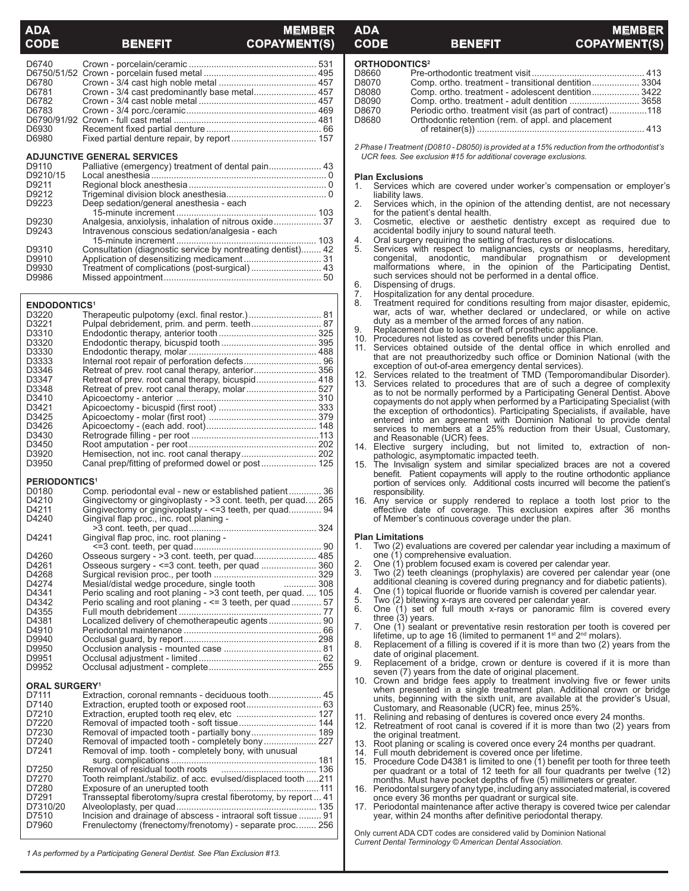### **MEMBER BENEFIT COPAYMENT(S)**

| D6780 |  |
|-------|--|
| D6781 |  |
| D6782 |  |
| D6783 |  |
|       |  |
| D6930 |  |
| D6980 |  |

### **ADJUNCTIVE GENERAL SERVICES**

| D9110    |                                                             |
|----------|-------------------------------------------------------------|
| D9210/15 |                                                             |
| D9211    |                                                             |
| D9212    |                                                             |
| D9223    | Deep sedation/general anesthesia - each                     |
|          |                                                             |
| D9230    |                                                             |
| D9243    | Intravenous conscious sedation/analgesia - each             |
|          |                                                             |
| D9310    | Consultation (diagnostic service by nontreating dentist) 42 |
| D9910    | Application of desensitizing medicament 31                  |
| D9930    | Treatment of complications (post-surgical) 43               |
| D9986    |                                                             |
|          |                                                             |

### **ENDODONTICS1**

| D3220<br>D3221    |  |
|-------------------|--|
| D3310             |  |
| D3320             |  |
| D3330             |  |
| D3333             |  |
| D3346             |  |
| D3347             |  |
| D3348             |  |
| D <sub>3410</sub> |  |
| D3421             |  |
| D <sub>3425</sub> |  |
| D3426             |  |
| D3430             |  |
| D <sub>3450</sub> |  |
| D3920             |  |
| D3950             |  |

### **PERIODONTICS1**

| D0180 | Comp. periodontal eval - new or established patient 36        |  |
|-------|---------------------------------------------------------------|--|
| D4210 | Gingivectomy or gingivoplasty - > 3 cont. teeth, per quad 265 |  |
| D4211 | Gingivectomy or gingivoplasty - <= 3 teeth, per quad 94       |  |
| D4240 | Gingival flap proc., inc. root planing -                      |  |
|       |                                                               |  |
| D4241 | Gingival flap proc, inc. root planing -                       |  |
|       |                                                               |  |
| D4260 |                                                               |  |
| D4261 |                                                               |  |
| D4268 |                                                               |  |
| D4274 |                                                               |  |
| D4341 | Perio scaling and root planing - > 3 cont teeth, per quad 105 |  |
| D4342 | Perio scaling and root planing - <= 3 teeth, per quad 57      |  |
| D4355 |                                                               |  |
| D4381 |                                                               |  |
| D4910 |                                                               |  |
| D9940 |                                                               |  |
| D9950 |                                                               |  |
| D9951 |                                                               |  |
| D9952 |                                                               |  |
|       |                                                               |  |

### **ORAL SURGERY1**

| D7111    |                                                                                  |     |
|----------|----------------------------------------------------------------------------------|-----|
| D7140    |                                                                                  |     |
| D7210    |                                                                                  |     |
| D7220    |                                                                                  | 144 |
| D7230    |                                                                                  |     |
| D7240    |                                                                                  |     |
| D7241    | Removal of imp. tooth - completely bony, with unusual                            |     |
|          |                                                                                  | 181 |
| D7250    |                                                                                  | 136 |
| D7270    | Tooth reimplant./stabiliz. of acc. evulsed/displaced tooth 211                   |     |
| D7280    | Exposure of an unerupted tooth Fig. 2016. All the Exposure of an unerupted tooth |     |
| D7291    | Transseptal fiberotomy/supra crestal fiberotomy, by report  41                   |     |
| D7310/20 |                                                                                  | 135 |
| D7510    | Incision and drainage of abscess - intraoral soft tissue  91                     |     |
| D7960    | Frenulectomy (frenectomy/frenotomy) - separate proc 256                          |     |
|          |                                                                                  |     |

### *1 As performed by a Participating General Dentist. See Plan Exclusion #13.*

### **ORTHODONTICS2**

| D8660 |                                                          |  |
|-------|----------------------------------------------------------|--|
| D8070 | Comp. ortho. treatment - transitional dentition 3304     |  |
| D8080 | Comp. ortho. treatment - adolescent dentition 3422       |  |
| D8090 |                                                          |  |
| D8670 | Periodic ortho. treatment visit (as part of contract)118 |  |
| D8680 | Orthodontic retention (rem. of appl. and placement       |  |
|       |                                                          |  |
|       |                                                          |  |

**ADA MEMBER**  $\begin{array}{ccc}\n\text{CODE} & \text{BENEFIT} & \text{COPAYMEN}\n\end{array}$ 

*2 Phase I Treatment (D0810 - D8050) is provided at a 15% reduction from the orthodontist's UCR fees. See exclusion #15 for additional coverage exclusions.*

## **Plan Exclusions**<br>1. Services wh

- Services which are covered under worker's compensation or employer's liability laws.
- 2. Services which, in the opinion of the attending dentist, are not necessary for the patient's dental health.
- 3. Cosmetic, elective or aesthetic dentistry except as required due to accidental bodily injury to sound natural teeth.
- 4. Oral surgery requiring the setting of fractures or dislocations.<br>5. Services with respect to malignancies, cysts or neoplasn
- Services with respect to malignancies, cysts or neoplasms, hereditary, congenital, anodontic, mandibular prognathism or development malformations where, in the opinion of the Participating Dentist, such services should not be performed in a dental office.<br>6. Dispensing of drugs. Dispensing of drugs.
- 
- 7. Hospitalization for any dental procedure. 8. Treatment required for conditions resulting from major disaster, epidemic, war, acts of war, whether declared or undeclared, or while on active duty as a member of the armed forces of any nation.
- 9. Replacement due to loss or theft of prosthetic appliance.<br>10. Procedures not listed as covered benefits under this Pla
- 10. Procedures not listed as covered benefits under this Plan.<br>11. Services obtained outside of the dental office in whi-
- Services obtained outside of the dental office in which enrolled and that are not preauthorizedby such office or Dominion National (with the exception of out-of-area emergency dental services).
- 12. Services related to the treatment of TMD (Temporomandibular Disorder). 13. Services related to procedures that are of such a degree of complexity as to not be normally performed by a Participating General Dentist. Above copayments do not apply when performed by a Participating Specialist (with the exception of orthodontics). Participating Specialists, if available, have entered into an agreement with Dominion National to provide dental services to members at a 25% reduction from their Usual, Customary, and Reasonable (UCR) fees.
- 14. Elective surgery including, but not limited to, extraction of nonpathologic, asymptomatic impacted teeth.
- 15. The Invisalign system and similar specialized braces are not a covered benefit. Patient copayments will apply to the routine orthodontic appliance portion of services only. Additional costs incurred will become the patient's responsibility.
- 16. Any service or supply rendered to replace a tooth lost prior to the effective date of coverage. This exclusion expires after 36 months of Member's continuous coverage under the plan.

# **Plan Limitations**<br>1. Two (2) evalue

- 1. Two (2) evaluations are covered per calendar year including a maximum of one (1) comprehensive evaluation.
- 2. One  $(1)$  problem focused exam is covered per calendar year.<br>3. Two  $(2)$  teeth cleanings (prophylaxis) are covered per cale
- Two (2) teeth cleanings (prophylaxis) are covered per calendar year (one additional cleaning is covered during pregnancy and for diabetic patients).
- 4. One (1) topical fluoride or fluoride varnish is covered per calendar year.<br>5. Two (2) bitewing x-rays are covered per calendar year.
- 5. Two (2) bitewing x-rays are covered per calendar year. 6. One (1) set of full mouth x-rays or panoramic film is covered every three (3) years.
- 7. One (1) sealant or preventative resin restoration per tooth is covered per lifetime, up to age 16 (limited to permanent 1<sup>st</sup> and 2<sup>nd</sup> molars).
- 8. Replacement of a filling is covered if it is more than two (2) years from the date of original placement.
- 9. Replacement of a bridge, crown or denture is covered if it is more than seven (7) years from the date of original placement.
- 10. Crown and bridge fees apply to treatment involving five or fewer units when presented in a single treatment plan. Additional crown or bridge units, beginning with the sixth unit, are available at the provider's Usual, Customary, and Reasonable (UCR) fee, minus 25%.
- 11. Relining and rebasing of dentures is covered once every 24 months.
- Retreatment of root canal is covered if it is more than two (2) years from the original treatment.
- 13. Root planing or scaling is covered once every 24 months per quadrant.<br>14. Full mouth debridement is covered once per lifetime.
- 14. Full mouth debridement is covered once per lifetime.
- 15. Procedure Code D4381 is limited to one (1) benefit per tooth for three teeth per quadrant or a total of 12 teeth for all four quadrants per twelve (12) months. Must have pocket depths of five (5) millimeters or greater.<br>16. Periodontal surgery of any type, including any associated material, is
- 16. Periodontal surgery of any type, including any associated material, is covered once every 36 months per quadrant or surgical site.
- 17. Periodontal maintenance after active therapy is covered twice per calendar year, within 24 months after definitive periodontal therapy.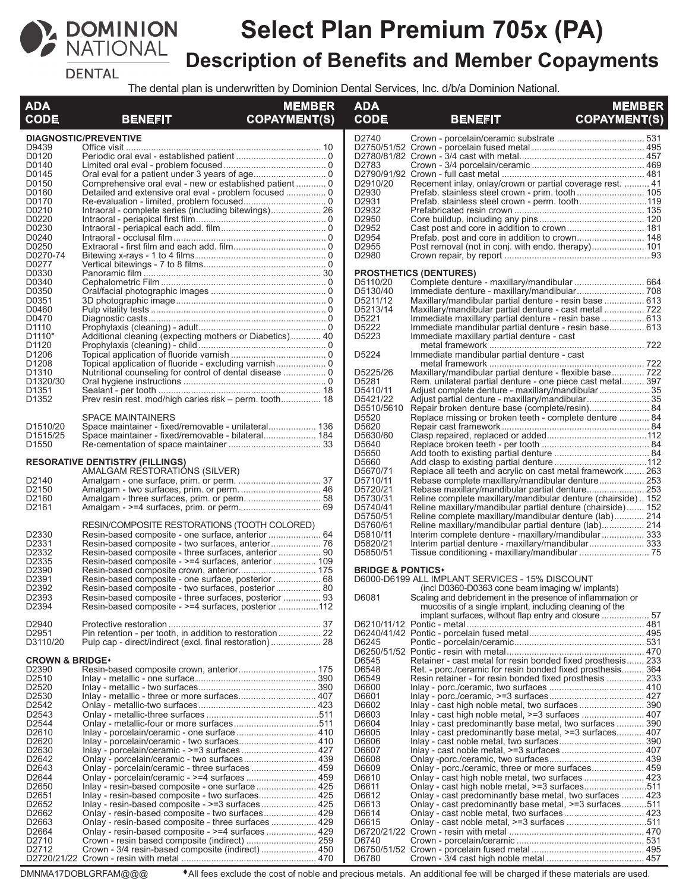

# **Select Plan Premium 705x (PA) Description of Benefits and Member Copayments**

**DENTAL** 

The dental plan is underwritten by Dominion Dental Services, Inc. d/b/a Dominion National.

| <b>ADA</b>                             |                                                                                                              | <b>MEMBER</b>       | <b>ADA</b>                   |                                                                                                                     | <b>MEMBER</b>       |
|----------------------------------------|--------------------------------------------------------------------------------------------------------------|---------------------|------------------------------|---------------------------------------------------------------------------------------------------------------------|---------------------|
| <b>CODE</b>                            | BENEFIT                                                                                                      | <b>COPAYMENT(S)</b> | <b>CODE</b>                  | <b>BENEFIT</b>                                                                                                      | <b>COPAYMENT(S)</b> |
| D9439                                  | <b>DIAGNOSTIC/PREVENTIVE</b>                                                                                 |                     | D2740                        |                                                                                                                     |                     |
| D0120                                  |                                                                                                              |                     |                              |                                                                                                                     |                     |
| D0140                                  |                                                                                                              |                     | D2783                        |                                                                                                                     |                     |
| D0145                                  |                                                                                                              |                     |                              |                                                                                                                     |                     |
| D0150                                  |                                                                                                              |                     | D2910/20                     | Recement inlay, onlay/crown or partial coverage rest.  41                                                           |                     |
| D0160<br>D0170                         |                                                                                                              |                     | D2930<br>D2931               |                                                                                                                     |                     |
| D0210                                  |                                                                                                              |                     | D2932                        |                                                                                                                     |                     |
| D0220                                  |                                                                                                              |                     | D2950                        |                                                                                                                     |                     |
| D0230                                  |                                                                                                              |                     | D <sub>2952</sub>            |                                                                                                                     |                     |
| D0240                                  |                                                                                                              |                     | D2954                        |                                                                                                                     |                     |
| D0250<br>D0270-74                      |                                                                                                              |                     | D2955<br>D2980               | Post removal (not in conj. with endo. therapy) 101                                                                  |                     |
| D0277                                  |                                                                                                              |                     |                              |                                                                                                                     |                     |
| D0330                                  |                                                                                                              |                     |                              | <b>PROSTHETICS (DENTURES)</b>                                                                                       |                     |
| D0340                                  |                                                                                                              |                     | D5110/20                     |                                                                                                                     |                     |
| D0350<br>D0351                         |                                                                                                              |                     | D5130/40<br>D5211/12         |                                                                                                                     |                     |
| D0460                                  |                                                                                                              |                     | D5213/14                     | Maxillary/mandibular partial denture - resin base  613<br>Maxillary/mandibular partial denture - cast metal         |                     |
| D0470                                  |                                                                                                              |                     | D5221                        | Immediate maxillary partial denture - resin base  613                                                               |                     |
| D <sub>1110</sub>                      |                                                                                                              |                     | D5222                        | Immediate mandibular partial denture - resin base 613                                                               |                     |
| D <sub>1110</sub> <sup>*</sup>         | Additional cleaning (expecting mothers or Diabetics) 40                                                      |                     | D5223                        | Immediate maxillary partial denture - cast                                                                          |                     |
| D1120<br>D <sub>1206</sub>             |                                                                                                              |                     | D5224                        | Immediate mandibular partial denture - cast                                                                         |                     |
| D <sub>1208</sub>                      |                                                                                                              |                     |                              |                                                                                                                     |                     |
| D <sub>1310</sub>                      |                                                                                                              |                     | D5225/26                     | Maxillary/mandibular partial denture - flexible base 722                                                            |                     |
| D <sub>1320</sub> /30                  |                                                                                                              |                     | D5281                        | Rem. unilateral partial denture - one piece cast metal 397                                                          |                     |
| D <sub>1351</sub>                      |                                                                                                              |                     | D5410/11                     | Adjust complete denture - maxillary/mandibular 35                                                                   |                     |
| D1352                                  | Prev resin rest. mod/high caries risk – perm. tooth 18                                                       |                     | D5421/22<br>D5510/5610       | Repair broken denture base (complete/resin) 84                                                                      |                     |
|                                        | <b>SPACE MAINTAINERS</b>                                                                                     |                     | D5520                        | Replace missing or broken teeth - complete denture  84                                                              |                     |
| D <sub>1510</sub> /20                  | Space maintainer - fixed/removable - unilateral 136                                                          |                     | D5620                        |                                                                                                                     |                     |
| D <sub>1515</sub> /25                  | Space maintainer - fixed/removable - bilateral 184                                                           |                     | D5630/60                     |                                                                                                                     |                     |
| D1550                                  |                                                                                                              |                     | D5640<br>D5650               |                                                                                                                     |                     |
|                                        | <b>RESORATIVE DENTISTRY (FILLINGS)</b>                                                                       |                     | D5660                        |                                                                                                                     |                     |
|                                        | AMALGAM RESTORATIÓNS (SILVER)                                                                                |                     | D5670/71                     | Replace all teeth and acrylic on cast metal framework 263                                                           |                     |
| D2140                                  |                                                                                                              |                     | D5710/11                     | Rebase complete maxillary/mandibular denture 253                                                                    |                     |
| D2150<br>D <sub>2160</sub>             |                                                                                                              |                     | D5720/21<br>D5730/31         | Rebase maxillary/mandibular partial denture 253<br>Reline complete maxillary/mandibular denture (chairside)152      |                     |
| D <sub>2161</sub>                      |                                                                                                              |                     | D5740/41                     | Reline maxillary/mandibular partial denture (chairside) 152                                                         |                     |
|                                        |                                                                                                              |                     | D5750/51                     | Reline complete maxillary/mandibular denture (lab) 214                                                              |                     |
|                                        | RESIN/COMPOSITE RESTORATIONS (TOOTH COLORED)                                                                 |                     | D5760/61                     | Reline maxillary/mandibular partial denture (lab) 214                                                               |                     |
| D2330<br>D2331                         |                                                                                                              |                     | D5810/11<br>D5820/21         | Interim complete denture - maxillary/mandibular  333                                                                |                     |
| D <sub>2332</sub>                      | Resin-based composite - three surfaces, anterior  90                                                         |                     | D5850/51                     |                                                                                                                     |                     |
| D2335                                  | Resin-based composite - >=4 surfaces, anterior  109                                                          |                     |                              |                                                                                                                     |                     |
| D2390                                  |                                                                                                              |                     | <b>BRIDGE &amp; PONTICS*</b> |                                                                                                                     |                     |
| D2391                                  |                                                                                                              |                     |                              | D6000-D6199 ALL IMPLANT SERVICES - 15% DISCOUNT                                                                     |                     |
| D2392<br>D2393                         | Resin-based composite - two surfaces, posterior  80<br>Resin-based composite - three surfaces, posterior  93 |                     | D6081                        | (incl D0360-D0363 cone beam imaging w/ implants)<br>Scaling and debridement in the presence of inflammation or      |                     |
| D2394                                  | Resin-based composite - >=4 surfaces, posterior 112                                                          |                     |                              | mucositis of a single implant, including cleaning of the                                                            |                     |
|                                        |                                                                                                              |                     |                              |                                                                                                                     |                     |
| D2940<br>D2951                         |                                                                                                              |                     |                              |                                                                                                                     |                     |
| D3110/20                               |                                                                                                              |                     | D6245                        |                                                                                                                     |                     |
|                                        |                                                                                                              |                     |                              |                                                                                                                     |                     |
| <b>CROWN &amp; BRIDGE*</b>             |                                                                                                              |                     | D6545                        | Retainer - cast metal for resin bonded fixed prosthesis 233                                                         |                     |
| D <sub>2390</sub><br>D2510             |                                                                                                              |                     | D6548<br>D6549               | Ret. - porc./ceramic for resin bonded fixed prosthesis 364                                                          |                     |
| D2520                                  |                                                                                                              |                     | D6600                        | Resin retainer - for resin bonded fixed prosthesis  233                                                             |                     |
| D2530                                  |                                                                                                              |                     | D6601                        |                                                                                                                     |                     |
| D2542                                  |                                                                                                              |                     | D6602                        |                                                                                                                     |                     |
| D <sub>2543</sub>                      |                                                                                                              |                     | D6603                        | Inlay - cast high noble metal, >=3 surfaces  407                                                                    |                     |
| D2544<br>D <sub>2610</sub>             |                                                                                                              |                     | D6604<br>D6605               | Inlay - cast predominantly base metal, two surfaces  390<br>Inlay - cast predominantly base metal, >=3 surfaces 407 |                     |
| D <sub>2620</sub>                      |                                                                                                              |                     | D6606                        |                                                                                                                     |                     |
| D2630                                  |                                                                                                              |                     | D6607                        |                                                                                                                     |                     |
| D <sub>2642</sub>                      |                                                                                                              |                     | D6608                        |                                                                                                                     |                     |
| D <sub>2643</sub><br>D2644             | Onlay - porcelain/ceramic - three surfaces  459                                                              |                     | D6609<br>D6610               | Onlay - porc./ceramic, three or more surfaces 459                                                                   |                     |
| D <sub>2650</sub>                      |                                                                                                              |                     | D6611                        | Onlay - cast high noble metal, >=3 surfaces511                                                                      |                     |
| D <sub>2651</sub>                      | Inlay - resin-based composite - two surfaces 425                                                             |                     | D6612                        | Onlay - cast predominantly base metal, two surfaces  423                                                            |                     |
| D2652                                  |                                                                                                              |                     | D6613                        | Onlay - cast predominantly base metal, >=3 surfaces511                                                              |                     |
| D <sub>2662</sub><br>D <sub>2663</sub> | Onlay - resin-based composite - two surfaces 429<br>Onlay - resin-based composite - three surfaces  429      |                     | D6614<br>D6615               | Onlay - cast noble metal, two surfaces 423                                                                          |                     |
| D2664                                  |                                                                                                              |                     |                              |                                                                                                                     |                     |
| D <sub>2710</sub>                      |                                                                                                              |                     | D6740                        |                                                                                                                     |                     |
| D <sub>2712</sub>                      | Crown - 3/4 resin-based composite (indirect)  450                                                            |                     |                              |                                                                                                                     |                     |
|                                        |                                                                                                              |                     | D6780                        |                                                                                                                     |                     |

DMNMA17DOBLGRFAM@@@ <sup>
All fees exclude the cost of noble and precious metals. An additional fee will be charged if these materials are used.</sup>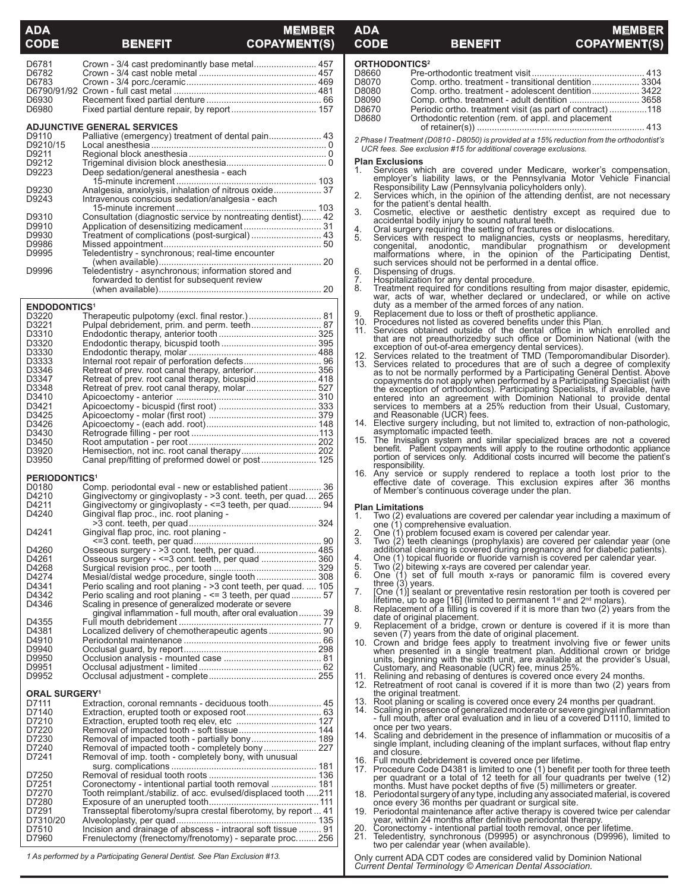## **ADA MEMBER CODE BENEFIT COPAYMENT(S)**

## **ADA MEMBER CODE BENEFIT COPAYMENT**

| D6781                           |                                                                                                                         |  |
|---------------------------------|-------------------------------------------------------------------------------------------------------------------------|--|
|                                 | Crown - 3/4 cast predominantly base metal 457                                                                           |  |
| D6782                           |                                                                                                                         |  |
|                                 |                                                                                                                         |  |
| D6783                           |                                                                                                                         |  |
|                                 |                                                                                                                         |  |
| D6930                           |                                                                                                                         |  |
| D6980                           |                                                                                                                         |  |
|                                 |                                                                                                                         |  |
|                                 |                                                                                                                         |  |
|                                 | <b>ADJUNCTIVE GENERAL SERVICES</b>                                                                                      |  |
| D9110                           | Palliative (emergency) treatment of dental pain 43                                                                      |  |
| D9210/15                        |                                                                                                                         |  |
| D9211                           |                                                                                                                         |  |
|                                 |                                                                                                                         |  |
| D9212                           |                                                                                                                         |  |
| D9223                           | Deep sedation/general anesthesia - each                                                                                 |  |
|                                 |                                                                                                                         |  |
| D9230                           | Analgesia, anxiolysis, inhalation of nitrous oxide 37                                                                   |  |
|                                 |                                                                                                                         |  |
| D9243                           | Intravenous conscious sedation/analgesia - each                                                                         |  |
|                                 |                                                                                                                         |  |
| D9310                           | Consultation (diagnostic service by nontreating dentist) 42                                                             |  |
|                                 |                                                                                                                         |  |
| D9910                           |                                                                                                                         |  |
| D9930                           | Treatment of complications (post-surgical)  43                                                                          |  |
| D9986                           |                                                                                                                         |  |
| D9995                           | Teledentistry - synchronous; real-time encounter                                                                        |  |
|                                 |                                                                                                                         |  |
|                                 |                                                                                                                         |  |
| D9996                           | Teledentistry - asynchronous; information stored and                                                                    |  |
|                                 | forwarded to dentist for subsequent review                                                                              |  |
|                                 |                                                                                                                         |  |
|                                 |                                                                                                                         |  |
|                                 |                                                                                                                         |  |
| <b>ENDODONTICS<sup>1</sup></b>  |                                                                                                                         |  |
| D3220                           | Therapeutic pulpotomy (excl. final restor.) 81                                                                          |  |
| D3221                           | Pulpal debridement, prim. and perm. teeth 87                                                                            |  |
|                                 |                                                                                                                         |  |
| D3310                           |                                                                                                                         |  |
| D3320                           |                                                                                                                         |  |
| D3330                           |                                                                                                                         |  |
|                                 |                                                                                                                         |  |
| D3333                           |                                                                                                                         |  |
| D3346                           |                                                                                                                         |  |
| D3347                           | Retreat of prev. root canal therapy, bicuspid 418                                                                       |  |
| D3348                           | Retreat of prev. root canal therapy, molar 527                                                                          |  |
|                                 |                                                                                                                         |  |
| D3410                           |                                                                                                                         |  |
| D3421                           |                                                                                                                         |  |
| D3425                           |                                                                                                                         |  |
|                                 |                                                                                                                         |  |
| D3426                           |                                                                                                                         |  |
| D3430                           |                                                                                                                         |  |
| D3450                           |                                                                                                                         |  |
| D3920                           |                                                                                                                         |  |
| D3950                           | Canal prep/fitting of preformed dowel or post 125                                                                       |  |
|                                 |                                                                                                                         |  |
|                                 |                                                                                                                         |  |
|                                 |                                                                                                                         |  |
| <b>PERIODONTICS<sup>1</sup></b> |                                                                                                                         |  |
|                                 |                                                                                                                         |  |
| D0180                           | Comp. periodontal eval - new or established patient 36                                                                  |  |
| D4210                           | Gingivectomy or gingivoplasty - > 3 cont. teeth, per quad 265                                                           |  |
| D4211                           | Gingivectomy or gingivoplasty - <= 3 teeth, per quad 94                                                                 |  |
| D4240                           | Gingival flap proc., inc. root planing -                                                                                |  |
|                                 |                                                                                                                         |  |
|                                 |                                                                                                                         |  |
| D4241                           | Gingival flap proc, inc. root planing -                                                                                 |  |
|                                 |                                                                                                                         |  |
| D4260                           |                                                                                                                         |  |
|                                 | Osseous surgery - >3 cont. teeth, per quad 485                                                                          |  |
| D4261                           | Osseous surgery - <= 3 cont. teeth, per quad  360                                                                       |  |
| D4268                           |                                                                                                                         |  |
| D4274                           |                                                                                                                         |  |
| D4341                           |                                                                                                                         |  |
|                                 | Perio scaling and root planing - > 3 cont teeth, per quad.  105                                                         |  |
| D4342                           | Perio scaling and root planing - <= 3 teeth, per quad  57                                                               |  |
| D4346                           | Scaling in presence of generalized moderate or severe                                                                   |  |
|                                 | gingival inflammation - full mouth, after oral evaluation  39                                                           |  |
| D4355                           |                                                                                                                         |  |
| D4381                           |                                                                                                                         |  |
|                                 | Localized delivery of chemotherapeutic agents 90                                                                        |  |
| D4910                           |                                                                                                                         |  |
| D9940                           |                                                                                                                         |  |
| D9950                           |                                                                                                                         |  |
| D9951                           |                                                                                                                         |  |
|                                 |                                                                                                                         |  |
| D9952                           |                                                                                                                         |  |
|                                 |                                                                                                                         |  |
| <b>ORAL SURGERY<sup>1</sup></b> |                                                                                                                         |  |
| D7111                           |                                                                                                                         |  |
| D7140                           |                                                                                                                         |  |
|                                 |                                                                                                                         |  |
| D7210                           |                                                                                                                         |  |
| D7220                           |                                                                                                                         |  |
| D7230                           |                                                                                                                         |  |
|                                 |                                                                                                                         |  |
| D7240                           |                                                                                                                         |  |
| D7241                           | Removal of imp. tooth - completely bony, with unusual                                                                   |  |
|                                 |                                                                                                                         |  |
| D7250                           |                                                                                                                         |  |
|                                 |                                                                                                                         |  |
| D7251                           | Coronectomy - intentional partial tooth removal  181                                                                    |  |
| D7270                           | Tooth reimplant./stabiliz. of acc. evulsed/displaced tooth 211                                                          |  |
| D7280                           |                                                                                                                         |  |
|                                 |                                                                                                                         |  |
| D7291                           | Transseptal fiberotomy/supra crestal fiberotomy, by report  41                                                          |  |
| D7310/20                        |                                                                                                                         |  |
| D7510<br>D7960                  | Incision and drainage of abscess - intraoral soft tissue  91<br>Frenulectomy (frenectomy/frenotomy) - separate proc 256 |  |

*1 As performed by a Participating General Dentist. See Plan Exclusion #13.*

| <b>ORTHODONTICS<sup>2</sup></b> |                                                          |  |  |  |
|---------------------------------|----------------------------------------------------------|--|--|--|
| D8660                           |                                                          |  |  |  |
| D8070                           | Comp. ortho. treatment - transitional dentition 3304     |  |  |  |
| D8080                           | Comp. ortho. treatment - adolescent dentition 3422       |  |  |  |
| D8090                           | Comp. ortho. treatment - adult dentition  3658           |  |  |  |
| D8670                           | Periodic ortho. treatment visit (as part of contract)118 |  |  |  |
| D8680                           | Orthodontic retention (rem. of appl. and placement       |  |  |  |
|                                 |                                                          |  |  |  |
|                                 |                                                          |  |  |  |

*2 Phase I Treatment (D0810 - D8050) is provided at a 15% reduction from the orthodontist's UCR fees. See exclusion #15 for additional coverage exclusions.*

### **Plan Exclusions**

- 1. Services which are covered under Medicare, worker's compensation, employer's liability laws, or the Pennsylvania Motor Vehicle Financial Responsibility Law (Pennsylvania policyholders only).  $\mathbf{1}$ .
- 2. Services which, in the opinion of the attending dentist, are not necessary for the patient's dental health.
- 3. Cosmetic, elective or aesthetic dentistry except as required due to<br>accidental bodily injury to sound natural teeth.<br>4. Oral surgery requiring the setting of fractures or dislocations.<br>5. Services with respect to malign
- 
- congenital, anodontic, mandibular prognathism or development<br>malformations where, in the opinion of the Participating Dentist,<br>such services should not be performed in a dental office.<br>6. Dispensing of drugs.
- 
- 
- 7. Hospitalization for any dental procedure. 8. Treatment required for conditions resulting from major disaster, epidemic, war, acts of war, whether declared or undeclared, or while on active duty as a member of the armed forces of any nation.
- 9. Replacement due to loss or theft of prosthetic appliance.
- 10. Procedures not listed as covered benefits under this Plan.<br>11. Services obtained outside of the dental office in which enrolled and
- that are not preauthorizedby such office or Dominion National (with the exception of out-of-area emergency dental services).<br>
12. Services related to the teatment of TMD (Temporomandibular Disorder).<br>
13. Services related
- 14. Elective surgery including, but not limited to, extraction of non-pathologic, asymptomatic impacted teeth.
- 15. The Invisalign system and similar specialized braces are not a covered benefit. Patient copayments will apply to the routine orthodontic appliance portion of services only. Additional costs incurred will become the patient's responsibility.
- 16. Any service or supply rendered to replace a tooth lost prior to the effective date of coverage. This exclusion expires after 36 months of Member's continuous coverage under the plan.

- **Plan Limitations**<br>1. Two (2) evalue Two (2) evaluations are covered per calendar year including a maximum of one (1) comprehensive evaluation.
- 
- 2. One (1) problem focused exam is covered per calendar year. 3. Two (2) teeth cleanings (prophylaxis) are covered per calendar year (one additional cleaning is covered during pregnancy and for diabetic patients).
- 4. One (1) topical fluoride or fluoride varnish is covered per calendar year.<br>5. Two (2) bitewing x-rays are covered per calendar year.
- 
- 5. Two (2) bitewing x-rays are covered per calendar year.<br>6. One (1) set of full mouth x-rays or panoramic film is covered every<br> three (3) years.<br>7. [One (1)] sealant or preventative resin restora
- lifetime, up to age [16] (limited to permanent 1<sup>st</sup> and 2<sup>nd</sup> molars).<br>8. Replacement of a filling is covered if it is more than two (2) years from the
- date of original placement. 9. Replacement of a bridge, crown or denture is covered if it is more than
- 
- seven (7) years from the date of original placement.<br>10. Crown and bridge fees apply to treatment involving five or fewer units<br>when presented in a single treatment plan. Additional crown or bridge<br>units, beginning with th
- Relining and rebasing of dentures is covered once every 24 months. 12. Retreatment of root canal is covered if it is more than two (2) years from the original treatment.
- 
- 13. Root planing or scaling is covered once every 24 months per quadrant.<br>14. Scaling in presence of generalized moderate or severe gingival inflammation - full mouth, after oral evaluation and in lieu of a covered D1110, limited to
- once per two years.<br>14. Scaling and debridement in the presence of inflammation or mucositis of a<br>single implant, including cleaning of the implant surfaces, without flap entry<br>and closure.
- 
- 16. Full mouth debridement is covered once per lifetime. 17. Procedure Code D4381 is limited to one (1) benefit per tooth for three teeth per quadrant or a total of 12 teeth for all four quadrants per twelve (12) months. Must have pocket depths of five (5) millimeters or greater.
- 18. Periodontal surgery of any type, including any associated material, is covered once every 36 months per quadrant or surgical site. 19. Periodontal maintenance after active therapy is covered twice per calendar
- year, within 24 months after definitive periodontal therapy.<br>20. Coronectomy intentional partial tooth removal, once per
- 20. Coronectomy intentional partial tooth removal, once per lifetime.
- Teledentistry, synchronous (D9995) or asynchronous (D9996), limited to two per calendar year (when available).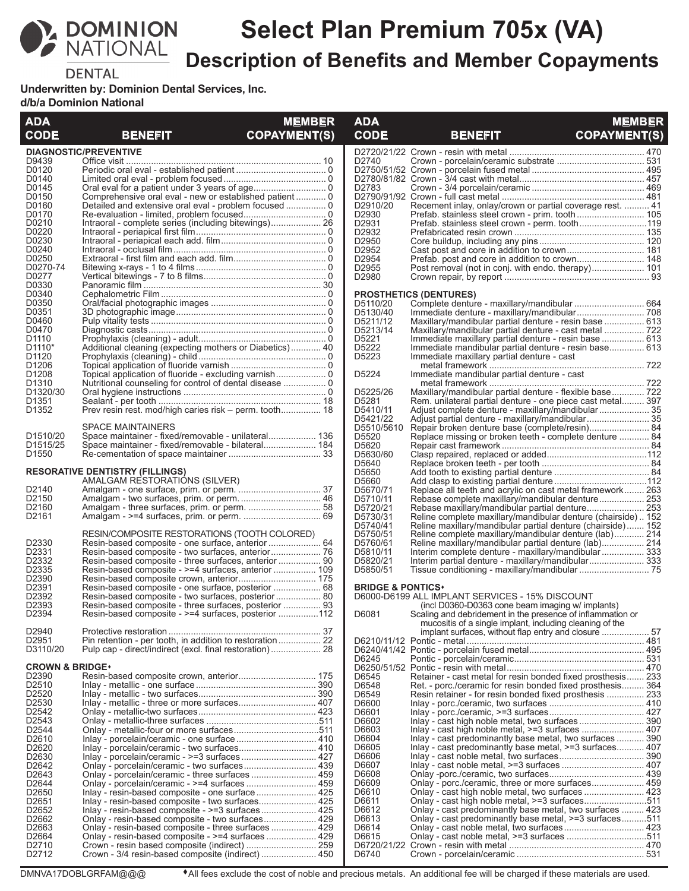

# **Select Plan Premium 705x (VA) Description of Benefits and Member Copayments**

**DENTAL** 

**Underwritten by: Dominion Dental Services, Inc.** 

**d/b/a Dominion National**

| <b>ADA</b>                    |                                                                                                             | <b>MEMBER</b>       | <b>ADA</b>                   |                                                                                                                        | <b>MEMBER</b>       |
|-------------------------------|-------------------------------------------------------------------------------------------------------------|---------------------|------------------------------|------------------------------------------------------------------------------------------------------------------------|---------------------|
| <b>CODE</b>                   | <b>BENEFIT</b>                                                                                              | <b>COPAYMENT(S)</b> | <b>CODE</b>                  | <b>BENEFIT</b>                                                                                                         | <b>COPAYMENT(S)</b> |
| D9439                         | <b>DIAGNOSTIC/PREVENTIVE</b>                                                                                |                     | D <sub>2740</sub>            |                                                                                                                        |                     |
| D0120                         |                                                                                                             |                     |                              |                                                                                                                        |                     |
| D0140                         |                                                                                                             |                     |                              |                                                                                                                        |                     |
| D0145<br>D0150                |                                                                                                             |                     | D <sub>2783</sub>            |                                                                                                                        |                     |
| D0160                         |                                                                                                             |                     | D2910/20                     | Recement inlay, onlay/crown or partial coverage rest.  41                                                              |                     |
| D0170                         |                                                                                                             |                     | D2930                        | Prefab. stainless steel crown - prim. tooth  105                                                                       |                     |
| D0210<br>D0220                | Intraoral - complete series (including bitewings) 26                                                        |                     | D2931<br>D2932               | Prefab. stainless steel crown - perm. tooth119                                                                         |                     |
| D0230                         |                                                                                                             |                     | D2950                        |                                                                                                                        |                     |
| D0240<br>D0250                |                                                                                                             |                     | D2952<br>D2954               | Prefab. post and core in addition to crown 148                                                                         |                     |
| D0270-74                      |                                                                                                             |                     | D2955                        | Post removal (not in conj. with endo. therapy) 101                                                                     |                     |
| D0277                         |                                                                                                             |                     | D2980                        |                                                                                                                        |                     |
| D0330<br>D0340                |                                                                                                             |                     |                              | <b>PROSTHETICS (DENTURES)</b>                                                                                          |                     |
| D0350                         |                                                                                                             |                     | D5110/20                     | Complete denture - maxillary/mandibular  664                                                                           |                     |
| D0351                         |                                                                                                             |                     | D5130/40                     |                                                                                                                        |                     |
| D0460<br>D0470                |                                                                                                             |                     | D5211/12<br>D5213/14         | Maxillary/mandibular partial denture - resin base  613<br>Maxillary/mandibular partial denture - cast metal  722       |                     |
| D <sub>1110</sub>             |                                                                                                             |                     | D5221                        | Immediate maxillary partial denture - resin base  613                                                                  |                     |
| D <sub>1110</sub> *           | Additional cleaning (expecting mothers or Diabetics) 40                                                     |                     | D5222                        | Immediate mandibular partial denture - resin base 613                                                                  |                     |
| D <sub>1120</sub><br>D1206    |                                                                                                             |                     | D5223                        | Immediate maxillary partial denture - cast                                                                             |                     |
| D <sub>1208</sub>             |                                                                                                             |                     | D5224                        | Immediate mandibular partial denture - cast                                                                            |                     |
| D <sub>1310</sub><br>D1320/30 |                                                                                                             |                     | D5225/26                     |                                                                                                                        |                     |
| D <sub>1351</sub>             |                                                                                                             |                     | D5281                        | Maxillary/mandibular partial denture - flexible base 722<br>Rem. unilateral partial denture - one piece cast metal 397 |                     |
| D <sub>1352</sub>             | Prev resin rest. mod/high caries risk – perm. tooth 18                                                      |                     | D5410/11                     |                                                                                                                        |                     |
|                               | <b>SPACE MAINTAINERS</b>                                                                                    |                     | D5421/22                     | Adjust partial denture - maxillary/mandibular 35                                                                       |                     |
| D <sub>1510</sub> /20         | Space maintainer - fixed/removable - unilateral 136                                                         |                     | D5510/5610<br>D5520          | Replace missing or broken teeth - complete denture  84                                                                 |                     |
| D <sub>1515</sub> /25         | Space maintainer - fixed/removable - bilateral 184                                                          |                     | D5620                        |                                                                                                                        |                     |
| D <sub>1550</sub>             |                                                                                                             |                     | D5630/60<br>D5640            |                                                                                                                        |                     |
|                               | <b>RESORATIVE DENTISTRY (FILLINGS)</b>                                                                      |                     | D5650                        |                                                                                                                        |                     |
|                               | AMALGAM RESTORATIONS (SILVER)                                                                               |                     | D5660                        |                                                                                                                        |                     |
| D2140<br>D <sub>2150</sub>    |                                                                                                             |                     | D5670/71<br>D5710/11         | Replace all teeth and acrylic on cast metal framework 263<br>Rebase complete maxillary/mandibular denture 253          |                     |
| D <sub>2160</sub>             |                                                                                                             |                     | D5720/21                     |                                                                                                                        |                     |
| D <sub>2161</sub>             |                                                                                                             |                     | D5730/31                     | Reline complete maxillary/mandibular denture (chairside) 152                                                           |                     |
|                               | RESIN/COMPOSITE RESTORATIONS (TOOTH COLORED)                                                                |                     | D5740/41<br>D5750/51         | Reline maxillary/mandibular partial denture (chairside) 152<br>Reline complete maxillary/mandibular denture (lab) 214  |                     |
| D2330                         | Resin-based composite - one surface, anterior  64                                                           |                     | D5760/61                     | Reline maxillary/mandibular partial denture (lab) 214                                                                  |                     |
| D2331                         |                                                                                                             |                     | D5810/11                     | Interim complete denture - maxillary/mandibular  333                                                                   |                     |
| D2332<br>D <sub>2335</sub>    | Resin-based composite - three surfaces, anterior  90<br>Resin-based composite - >=4 surfaces, anterior  109 |                     | D5820/21<br>D5850/51         | Interim partial denture - maxillary/mandibular 333                                                                     |                     |
| D2390                         |                                                                                                             |                     |                              |                                                                                                                        |                     |
| D2391<br>D <sub>2392</sub>    | Resin-based composite - one surface, posterior  68                                                          |                     | <b>BRIDGE &amp; PONTICS*</b> | D6000-D6199 ALL IMPLANT SERVICES - 15% DISCOUNT                                                                        |                     |
| D2393                         | Resin-based composite - two surfaces, posterior 80<br>Resin-based composite - three surfaces, posterior  93 |                     |                              | (incl D0360-D0363 cone beam imaging w/ implants)                                                                       |                     |
| D2394                         | Resin-based composite - >=4 surfaces, posterior  112                                                        |                     | D6081                        | Scaling and debridement in the presence of inflammation or                                                             |                     |
| D2940                         |                                                                                                             |                     |                              | mucositis of a single implant, including cleaning of the                                                               |                     |
| D <sub>2951</sub>             | Pin retention - per tooth, in addition to restoration 22                                                    |                     |                              |                                                                                                                        |                     |
| D3110/20                      |                                                                                                             |                     |                              |                                                                                                                        |                     |
| <b>CROWN &amp; BRIDGE*</b>    |                                                                                                             |                     | D6245                        |                                                                                                                        |                     |
| D <sub>2390</sub>             |                                                                                                             |                     | D6545                        | Retainer - cast metal for resin bonded fixed prosthesis 233                                                            |                     |
| D <sub>2510</sub><br>D2520    |                                                                                                             |                     | D6548                        | Ret. - porc./ceramic for resin bonded fixed prosthesis 364                                                             |                     |
| D2530                         |                                                                                                             |                     | D6549<br>D6600               | Resin retainer - for resin bonded fixed prosthesis  233                                                                |                     |
| D <sub>2542</sub>             |                                                                                                             |                     | D6601                        |                                                                                                                        |                     |
| D2543<br>D2544                |                                                                                                             |                     | D6602<br>D6603               |                                                                                                                        |                     |
| D <sub>2610</sub>             | Inlay - porcelain/ceramic - one surface 410                                                                 |                     | D6604                        | Inlay - cast predominantly base metal, two surfaces  390                                                               |                     |
| D2620                         |                                                                                                             |                     | D6605                        | lnlay - cast predominantly base metal, $>=$ 3 surfaces 407                                                             |                     |
| D2630<br>D2642                |                                                                                                             |                     | D6606<br>D6607               |                                                                                                                        |                     |
| D2643                         |                                                                                                             |                     | D6608                        |                                                                                                                        |                     |
| D2644                         | Onlay - porcelain/ceramic - >=4 surfaces  459                                                               |                     | D6609                        | Onlay - porc./ceramic, three or more surfaces 459                                                                      |                     |
| D2650<br>D2651                |                                                                                                             |                     | D6610<br>D6611               | Onlay - cast high noble metal, >=3 surfaces511                                                                         |                     |
| D2652                         |                                                                                                             |                     | D6612                        | Onlay - cast predominantly base metal, two surfaces  423                                                               |                     |
| D <sub>2662</sub>             |                                                                                                             |                     | D6613                        | Onlay - cast predominantly base metal, >=3 surfaces511                                                                 |                     |
| D2663<br>D2664                | Onlay - resin-based composite - three surfaces  429                                                         |                     | D6614<br>D6615               |                                                                                                                        |                     |
| D <sub>2710</sub>             |                                                                                                             |                     |                              |                                                                                                                        |                     |
| D2712                         | Crown - 3/4 resin-based composite (indirect)  450                                                           |                     | D6740                        |                                                                                                                        |                     |

DMNVA17DOBLGRFAM@@@  $\bullet$ All fees exclude the cost of noble and precious metals. An additional fee will be charged if these materials are used.